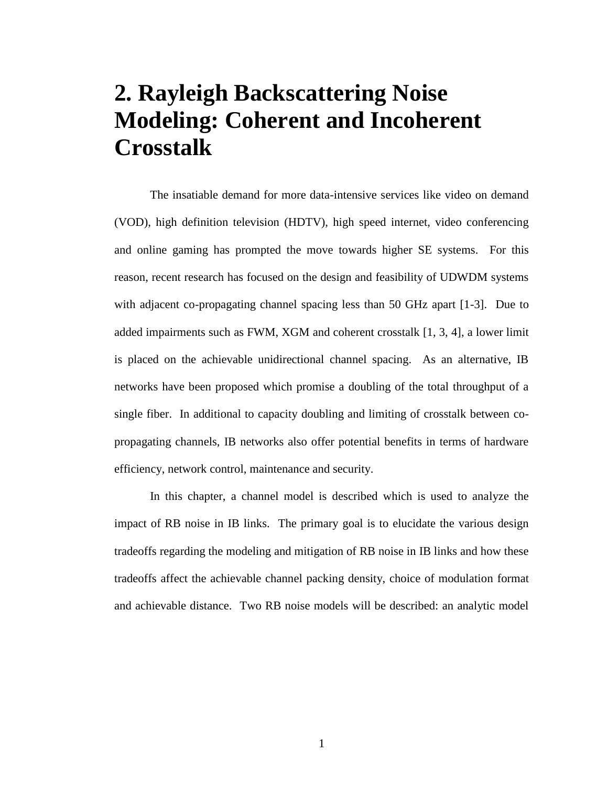# **2. Rayleigh Backscattering Noise Modeling: Coherent and Incoherent Crosstalk**

The insatiable demand for more data-intensive services like video on demand (VOD), high definition television (HDTV), high speed internet, video conferencing and online gaming has prompted the move towards higher SE systems. For this reason, recent research has focused on the design and feasibility of UDWDM systems with adjacent co-propagating channel spacing less than 50 GHz apart [1-3]. Due to added impairments such as FWM, XGM and coherent crosstalk [1, 3, 4], a lower limit is placed on the achievable unidirectional channel spacing. As an alternative, IB networks have been proposed which promise a doubling of the total throughput of a single fiber. In additional to capacity doubling and limiting of crosstalk between copropagating channels, IB networks also offer potential benefits in terms of hardware efficiency, network control, maintenance and security.

In this chapter, a channel model is described which is used to analyze the impact of RB noise in IB links. The primary goal is to elucidate the various design tradeoffs regarding the modeling and mitigation of RB noise in IB links and how these tradeoffs affect the achievable channel packing density, choice of modulation format and achievable distance. Two RB noise models will be described: an analytic model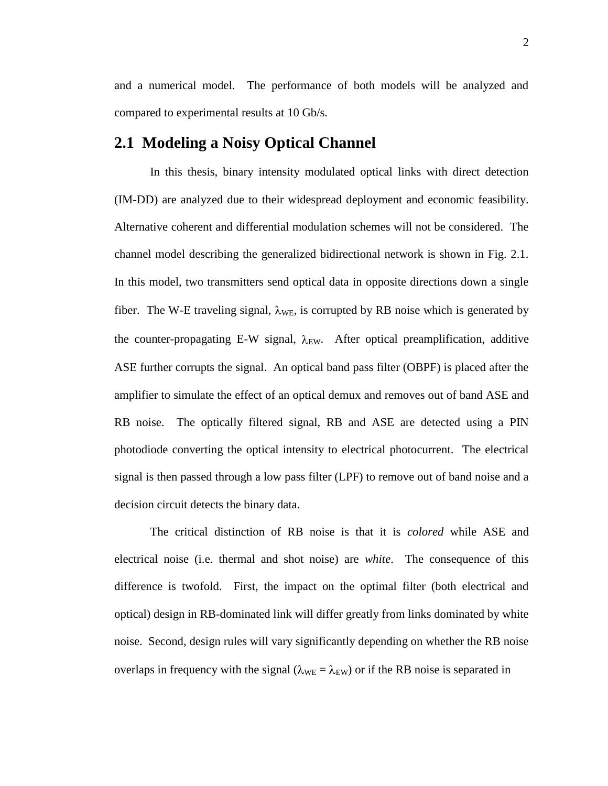and a numerical model. The performance of both models will be analyzed and compared to experimental results at 10 Gb/s.

# **2.1 Modeling a Noisy Optical Channel**

In this thesis, binary intensity modulated optical links with direct detection (IM-DD) are analyzed due to their widespread deployment and economic feasibility. Alternative coherent and differential modulation schemes will not be considered. The channel model describing the generalized bidirectional network is shown in Fig. 2.1. In this model, two transmitters send optical data in opposite directions down a single fiber. The W-E traveling signal,  $\lambda_{WE}$ , is corrupted by RB noise which is generated by the counter-propagating E-W signal,  $\lambda_{EW}$ . After optical preamplification, additive ASE further corrupts the signal. An optical band pass filter (OBPF) is placed after the amplifier to simulate the effect of an optical demux and removes out of band ASE and RB noise. The optically filtered signal, RB and ASE are detected using a PIN photodiode converting the optical intensity to electrical photocurrent. The electrical signal is then passed through a low pass filter (LPF) to remove out of band noise and a decision circuit detects the binary data.

The critical distinction of RB noise is that it is *colored* while ASE and electrical noise (i.e. thermal and shot noise) are *white*. The consequence of this difference is twofold. First, the impact on the optimal filter (both electrical and optical) design in RB-dominated link will differ greatly from links dominated by white noise. Second, design rules will vary significantly depending on whether the RB noise overlaps in frequency with the signal ( $\lambda_{WE} = \lambda_{EW}$ ) or if the RB noise is separated in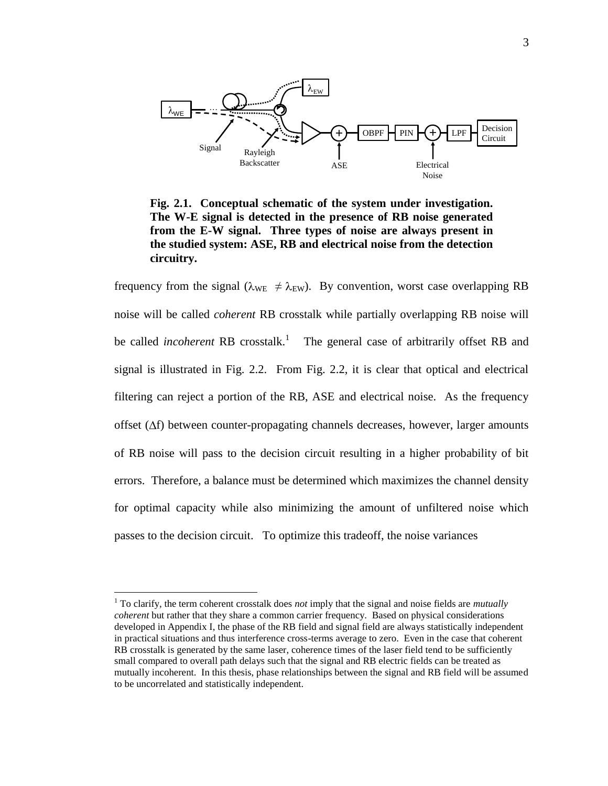

**Fig. 2.1. Conceptual schematic of the system under investigation. The W-E signal is detected in the presence of RB noise generated from the E-W signal. Three types of noise are always present in the studied system: ASE, RB and electrical noise from the detection circuitry.**

frequency from the signal ( $\lambda_{WE} \neq \lambda_{EW}$ ). By convention, worst case overlapping RB noise will be called *coherent* RB crosstalk while partially overlapping RB noise will be called *incoherent* RB crosstalk.<sup>1</sup> The general case of arbitrarily offset RB and signal is illustrated in Fig. 2.2. From Fig. 2.2, it is clear that optical and electrical filtering can reject a portion of the RB, ASE and electrical noise. As the frequency offset  $(\Delta f)$  between counter-propagating channels decreases, however, larger amounts of RB noise will pass to the decision circuit resulting in a higher probability of bit errors. Therefore, a balance must be determined which maximizes the channel density for optimal capacity while also minimizing the amount of unfiltered noise which passes to the decision circuit. To optimize this tradeoff, the noise variances

 $\overline{a}$ 

<sup>1</sup> To clarify, the term coherent crosstalk does *not* imply that the signal and noise fields are *mutually coherent* but rather that they share a common carrier frequency. Based on physical considerations developed in Appendix I, the phase of the RB field and signal field are always statistically independent in practical situations and thus interference cross-terms average to zero. Even in the case that coherent RB crosstalk is generated by the same laser, coherence times of the laser field tend to be sufficiently small compared to overall path delays such that the signal and RB electric fields can be treated as mutually incoherent. In this thesis, phase relationships between the signal and RB field will be assumed to be uncorrelated and statistically independent.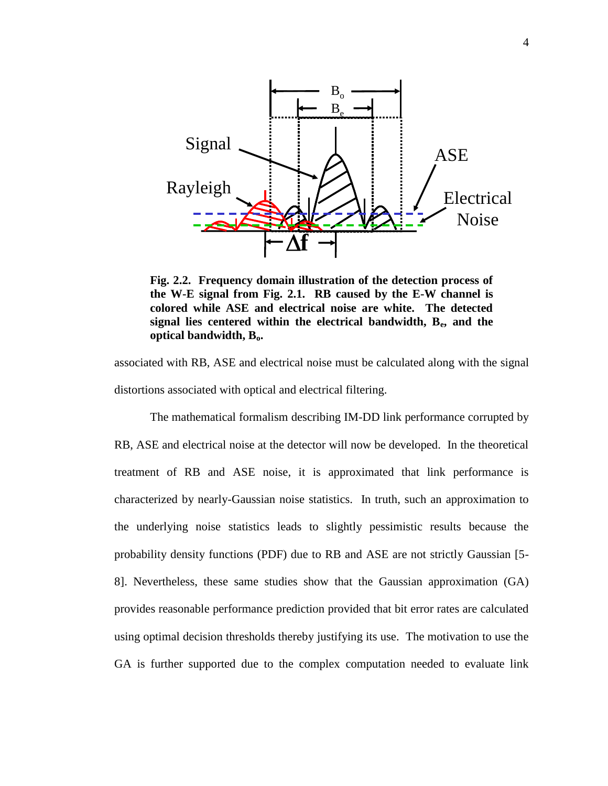

**Fig. 2.2. Frequency domain illustration of the detection process of the W-E signal from Fig. 2.1. RB caused by the E-W channel is colored while ASE and electrical noise are white. The detected signal lies centered within the electrical bandwidth, Be, and the optical bandwidth, Bo.** 

associated with RB, ASE and electrical noise must be calculated along with the signal distortions associated with optical and electrical filtering.

The mathematical formalism describing IM-DD link performance corrupted by RB, ASE and electrical noise at the detector will now be developed. In the theoretical treatment of RB and ASE noise, it is approximated that link performance is characterized by nearly-Gaussian noise statistics. In truth, such an approximation to the underlying noise statistics leads to slightly pessimistic results because the probability density functions (PDF) due to RB and ASE are not strictly Gaussian [5- 8]. Nevertheless, these same studies show that the Gaussian approximation (GA) provides reasonable performance prediction provided that bit error rates are calculated using optimal decision thresholds thereby justifying its use. The motivation to use the GA is further supported due to the complex computation needed to evaluate link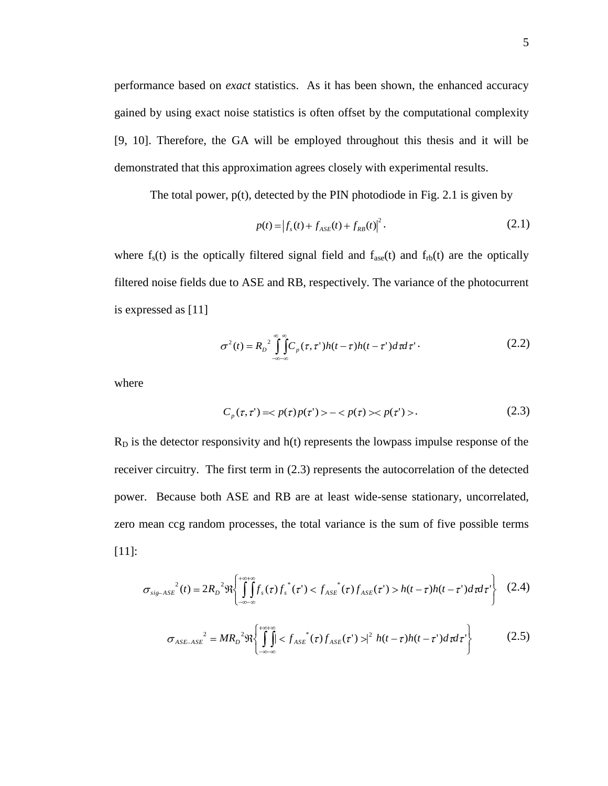performance based on *exact* statistics. As it has been shown, the enhanced accuracy gained by using exact noise statistics is often offset by the computational complexity [9, 10]. Therefore, the GA will be employed throughout this thesis and it will be demonstrated that this approximation agrees closely with experimental results.

The total power,  $p(t)$ , detected by the PIN photodiode in Fig. 2.1 is given by

$$
p(t) = |f_s(t) + f_{ASE}(t) + f_{RB}(t)|^2.
$$
 (2.1)

where  $f_s(t)$  is the optically filtered signal field and  $f_{\text{ase}}(t)$  and  $f_{\text{rb}}(t)$  are the optically filtered noise fields due to ASE and RB, respectively. The variance of the photocurrent is expressed as [11]

$$
\sigma^{2}(t) = R_{D}^{2} \int_{-\infty}^{\infty} \int_{-\infty}^{\infty} C_{p}(\tau, \tau') h(t - \tau) h(t - \tau') d\tau d\tau' \tag{2.2}
$$

where

$$
C_p(\tau, \tau') = \langle p(\tau)p(\tau') \rangle - \langle p(\tau) \rangle \langle p(\tau') \rangle. \tag{2.3}
$$

 $R<sub>D</sub>$  is the detector responsivity and  $h(t)$  represents the lowpass impulse response of the receiver circuitry. The first term in (2.3) represents the autocorrelation of the detected power. Because both ASE and RB are at least wide-sense stationary, uncorrelated, zero mean ccg random processes, the total variance is the sum of five possible terms [11]:

$$
\sigma_{\text{sig-ASE}}^{2}(t) = 2R_{D}^{2}\Re\left\{\int_{-\infty-\infty}^{+\infty+\infty} f_{s}(\tau) f_{s}^{*}(\tau) < f_{\text{ASE}}(\tau) f_{\text{ASE}}(\tau) > h(t-\tau)h(t-\tau) d\tau d\tau\right\} \tag{2.4}
$$

$$
\sigma_{ASE-ASE}^2 = MR_D^2 \Re \left\{ \int_{-\infty-\infty}^{+\infty+\infty} \int_{SSE}^{+\infty+\infty} (\tau) f_{ASE}(\tau') \right\}^2 h(t-\tau)h(t-\tau') d\tau d\tau' \right\}
$$
(2.5)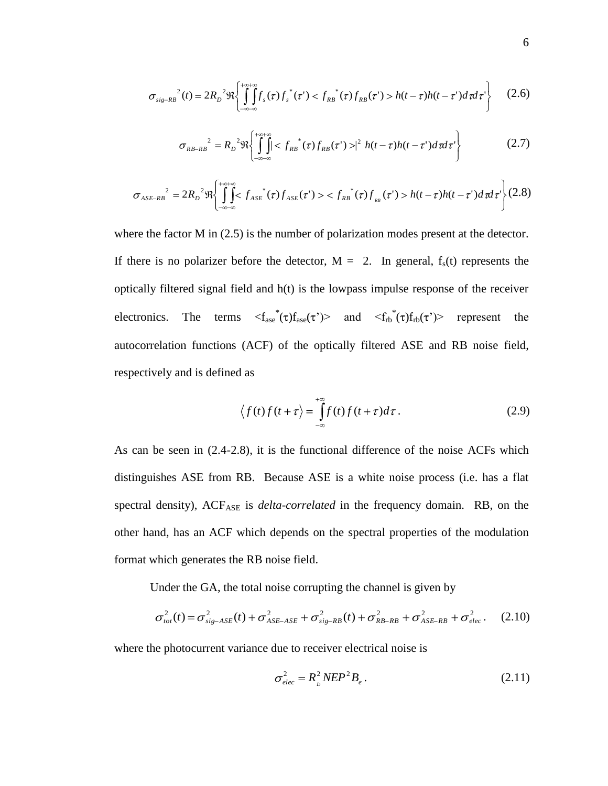$$
\sigma_{\text{sig-RB}}^{2}(t) = 2R_{D}^{2}\Re\left\{\int_{-\infty-\infty}^{+\infty} f_{s}(\tau) f_{s}^{*}(\tau) < f_{RB}^{*}(\tau) f_{RB}(\tau) > h(t-\tau)h(t-\tau')d\tau d\tau'\right\} \tag{2.6}
$$

$$
\sigma_{RB-RB}^{2} = R_{D}^{2} \Re \left\{ \int_{-\infty-\infty}^{+\infty+\infty} f_{RB}^{*}(\tau) f_{RB}(\tau') > |^{2} h(t-\tau)h(t-\tau')d\tau d\tau' \right\}
$$
(2.7)

$$
\sigma_{ASE-RB}^{2} = 2R_{D}^{2}\Re\left\{\int_{-\infty-\infty}^{+\infty} f_{ASE}^{*}(\tau)f_{ASE}(\tau') > \frac{f_{RB}^{*}}{(\tau)f_{RB}(\tau)}\right\} = h(t-\tau)h(t-\tau')d\tau d\tau'\right\}(2.8)
$$

where the factor M in  $(2.5)$  is the number of polarization modes present at the detector. If there is no polarizer before the detector,  $M = 2$ . In general,  $f_s(t)$  represents the optically filtered signal field and h(t) is the lowpass impulse response of the receiver electronics. The terms  $\langle f_{\text{ase}}^*(\tau) f_{\text{ase}}(\tau) \rangle$  and  $\langle f_{\text{rb}}^*(\tau) f_{\text{rb}}(\tau) \rangle$  represent the autocorrelation functions (ACF) of the optically filtered ASE and RB noise field, respectively and is defined as

$$
\langle f(t)f(t+\tau)\rangle = \int_{-\infty}^{+\infty} f(t)f(t+\tau)d\tau.
$$
 (2.9)

As can be seen in (2.4-2.8), it is the functional difference of the noise ACFs which distinguishes ASE from RB. Because ASE is a white noise process (i.e. has a flat spectral density), ACF<sub>ASE</sub> is *delta-correlated* in the frequency domain. RB, on the other hand, has an ACF which depends on the spectral properties of the modulation format which generates the RB noise field.

Under the GA, the total noise corrupting the channel is given by

$$
\sigma_{tot}^2(t) = \sigma_{sig-ASE}^2(t) + \sigma_{ASE-ASE}^2 + \sigma_{sig-RB}^2(t) + \sigma_{RB-RB}^2 + \sigma_{ASE-RB}^2 + \sigma_{elec}^2.
$$
 (2.10)

where the photocurrent variance due to receiver electrical noise is

$$
\sigma_{elec}^2 = R_{\rho}^2 N E P^2 B_e. \tag{2.11}
$$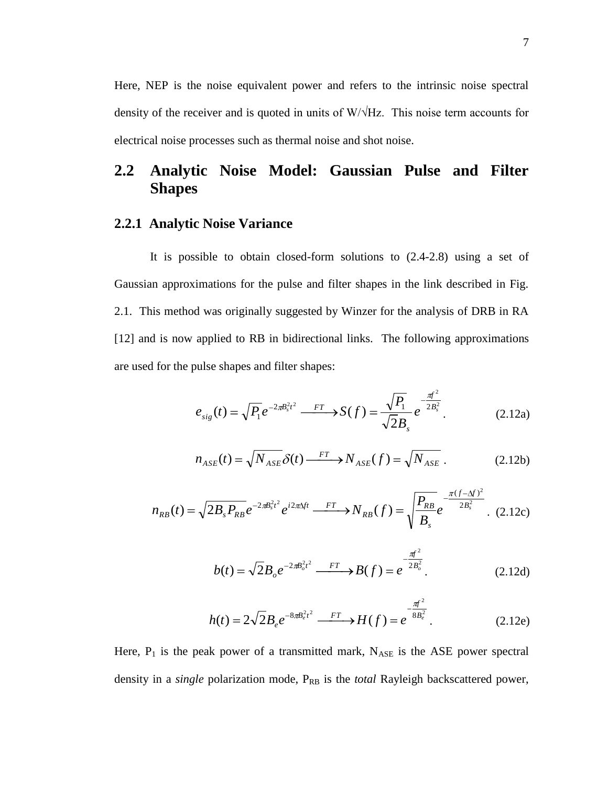Here, NEP is the noise equivalent power and refers to the intrinsic noise spectral density of the receiver and is quoted in units of W/√Hz. This noise term accounts for electrical noise processes such as thermal noise and shot noise.

# **2.2 Analytic Noise Model: Gaussian Pulse and Filter Shapes**

## **2.2.1 Analytic Noise Variance**

It is possible to obtain closed-form solutions to (2.4-2.8) using a set of Gaussian approximations for the pulse and filter shapes in the link described in Fig. 2.1. This method was originally suggested by Winzer for the analysis of DRB in RA [12] and is now applied to RB in bidirectional links. The following approximations are used for the pulse shapes and filter shapes:

$$
e_{sig}(t) = \sqrt{P_1}e^{-2\pi B_s^2 t^2} \xrightarrow{FT} S(f) = \frac{\sqrt{P_1}}{\sqrt{2}B_s}e^{-\frac{\pi f^2}{2B_s^2}}.
$$
 (2.12a)

$$
n_{ASE}(t) = \sqrt{N_{ASE}} \delta(t) \xrightarrow{FT} N_{ASE}(f) = \sqrt{N_{ASE}}.
$$
 (2.12b)

$$
n_{RB}(t) = \sqrt{2B_s P_{RB}} e^{-2\pi B_s^2 t^2} e^{i2\pi \Delta ft} \xrightarrow{FT} N_{RB}(f) = \sqrt{\frac{P_{RB}}{B_s}} e^{-\frac{\pi (f - \Delta f)^2}{2B_s^2}}.
$$
 (2.12c)

$$
b(t) = \sqrt{2}B_oe^{-2\pi B_o^2 t^2} \xrightarrow{FT} B(f) = e^{-\frac{\pi f^2}{2B_o^2}}.
$$
 (2.12d)

$$
h(t) = 2\sqrt{2}B_e e^{-8\pi B_e^2 t^2} \xrightarrow{FT} H(f) = e^{-\frac{\pi f^2}{8B_e^2}}.
$$
 (2.12e)

Here,  $P_1$  is the peak power of a transmitted mark,  $N_{ASE}$  is the ASE power spectral density in a *single* polarization mode, P<sub>RB</sub> is the *total* Rayleigh backscattered power,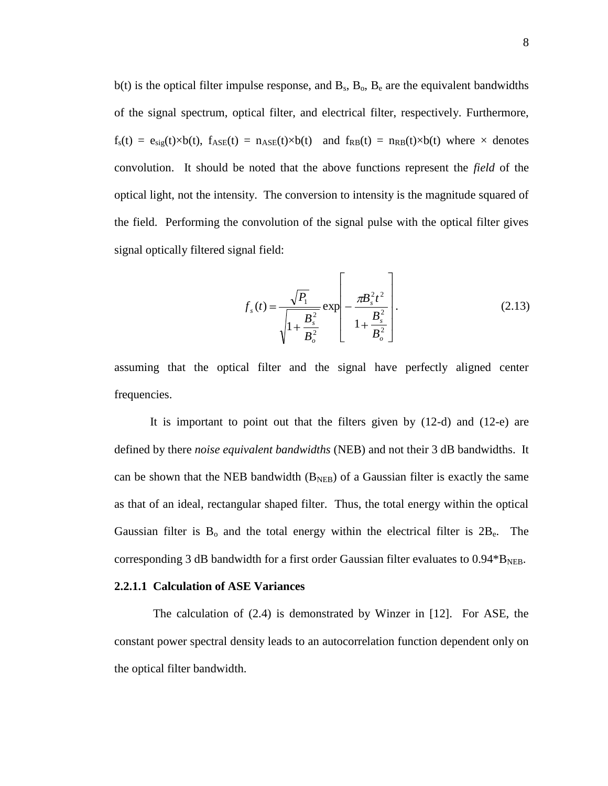$b(t)$  is the optical filter impulse response, and  $B_s$ ,  $B_o$ ,  $B_e$  are the equivalent bandwidths of the signal spectrum, optical filter, and electrical filter, respectively. Furthermore,  $f_s(t) = e_{sig}(t) \times b(t)$ ,  $f_{ASE}(t) = n_{ASE}(t) \times b(t)$  and  $f_{RB}(t) = n_{RB}(t) \times b(t)$  where  $\times$  denotes convolution. It should be noted that the above functions represent the *field* of the optical light, not the intensity. The conversion to intensity is the magnitude squared of the field. Performing the convolution of the signal pulse with the optical filter gives signal optically filtered signal field:

$$
f_s(t) = \frac{\sqrt{P_1}}{\sqrt{1 + \frac{B_s^2}{B_o^2}}} \exp\left[-\frac{\pi B_s^2 t^2}{1 + \frac{B_s^2}{B_o^2}}\right].
$$
 (2.13)

assuming that the optical filter and the signal have perfectly aligned center frequencies.

It is important to point out that the filters given by (12-d) and (12-e) are defined by there *noise equivalent bandwidths* (NEB) and not their 3 dB bandwidths. It can be shown that the NEB bandwidth  $(B<sub>NEB</sub>)$  of a Gaussian filter is exactly the same as that of an ideal, rectangular shaped filter. Thus, the total energy within the optical Gaussian filter is  $B_0$  and the total energy within the electrical filter is  $2B_e$ . The corresponding 3 dB bandwidth for a first order Gaussian filter evaluates to  $0.94*B_{NEB}$ .

#### **2.2.1.1 Calculation of ASE Variances**

The calculation of (2.4) is demonstrated by Winzer in [12]. For ASE, the constant power spectral density leads to an autocorrelation function dependent only on the optical filter bandwidth.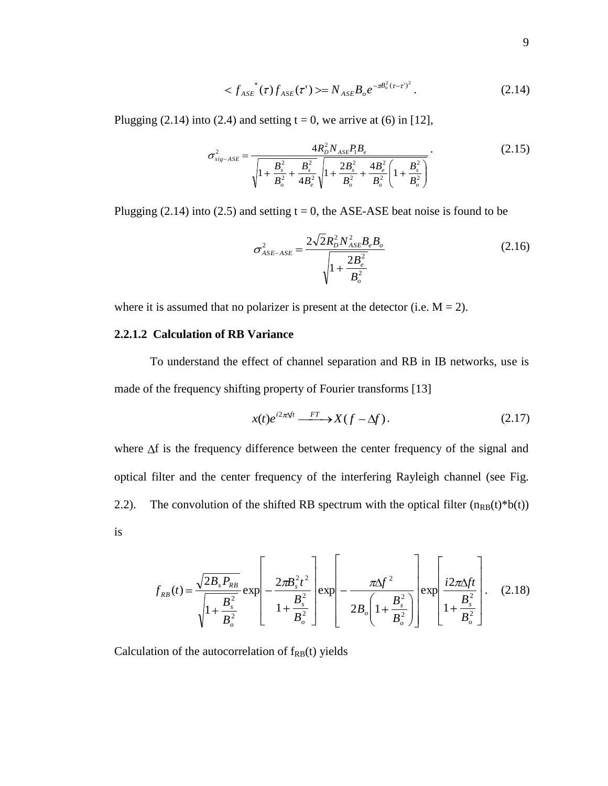$$
\langle f_{ASE}^*(\tau) f_{ASE}(\tau') \rangle = N_{ASE} B_o e^{-\pi B_o^2 (\tau - \tau)^2}.
$$
 (2.14)

Plugging (2.14) into (2.4) and setting  $t = 0$ , we arrive at (6) in [12],

$$
\sigma_{\text{sig-ASE}}^2 = \frac{4R_D^2 N_{\text{ASE}} P_1 B_e}{\sqrt{1 + \frac{B_s^2}{B_o^2} + \frac{B_s^2}{4B_e^2}} \sqrt{1 + \frac{2B_s^2}{B_o^2} + \frac{4B_e^2}{B_o^2} \left(1 + \frac{B_s^2}{B_o^2}\right)}}.
$$
(2.15)

Plugging (2.14) into (2.5) and setting  $t = 0$ , the ASE-ASE beat noise is found to be

$$
\sigma_{ASE-ASE}^2 = \frac{2\sqrt{2}R_D^2 N_{ASE}^2 B_e B_o}{\sqrt{1 + \frac{2B_e^2}{B_o^2}}}
$$
(2.16)

where it is assumed that no polarizer is present at the detector (i.e.  $M = 2$ ).

#### **2.2.1.2 Calculation of RB Variance**

To understand the effect of channel separation and RB in IB networks, use is made of the frequency shifting property of Fourier transforms [13]

$$
x(t)e^{i2\pi\Delta ft} \xrightarrow{FT} X(f - \Delta f).
$$
 (2.17)

where  $\Delta f$  is the frequency difference between the center frequency of the signal and optical filter and the center frequency of the interfering Rayleigh channel (see Fig. 2.2). The convolution of the shifted RB spectrum with the optical filter  $(n_{RB}(t)*b(t))$ is

$$
f_{RB}(t) = \frac{\sqrt{2B_s P_{RB}}}{\sqrt{1 + \frac{B_s^2}{B_o^2}}} \exp\left[-\frac{2\pi B_s^2 t^2}{1 + \frac{B_s^2}{B_o^2}}\right] \exp\left[-\frac{\pi \Delta f^2}{2B_o \left(1 + \frac{B_s^2}{B_o^2}\right)}\right] \exp\left[\frac{i2\pi \Delta ft}{1 + \frac{B_s^2}{B_o^2}}\right].
$$
 (2.18)

Calculation of the autocorrelation of  $f_{RB}(t)$  yields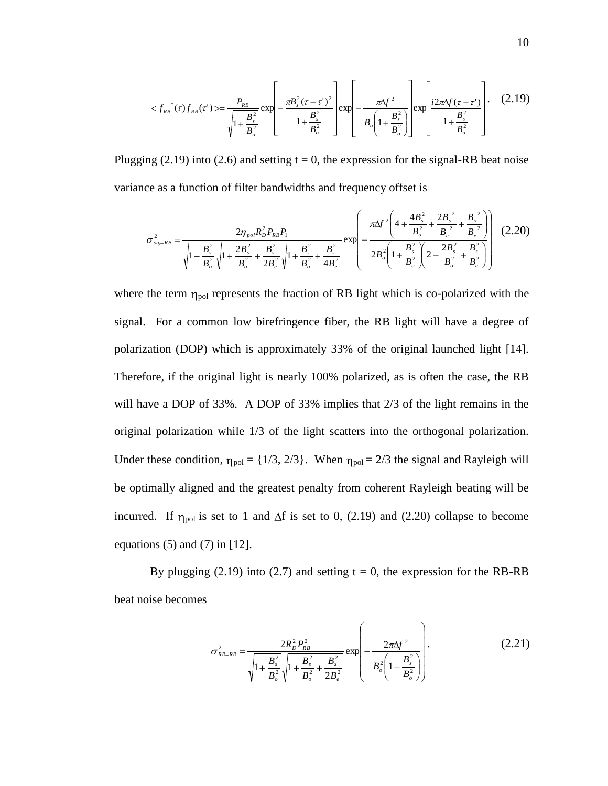$$
\langle f_{RB}^{*}(\tau) f_{RB}(\tau') \rangle = \frac{P_{RB}}{\sqrt{1 + \frac{B_{s}^{2}}{B_{o}^{2}}}} \exp\left[-\frac{\pi B_{s}^{2}(\tau - \tau')^{2}}{1 + \frac{B_{s}^{2}}{B_{o}^{2}}}\right] \exp\left[-\frac{\pi \Delta f^{2}}{B_{o}\left(1 + \frac{B_{s}^{2}}{B_{o}^{2}}\right)}\right] \exp\left[\frac{i2\pi \Delta f(\tau - \tau')}{1 + \frac{B_{s}^{2}}{B_{o}^{2}}}\right].
$$
 (2.19)

Plugging (2.19) into (2.6) and setting  $t = 0$ , the expression for the signal-RB beat noise variance as a function of filter bandwidths and frequency offset is

$$
\sigma_{\text{sig-RB}}^2 = \frac{2\eta_{\text{pol}} R_D^2 P_{\text{RB}} P_1}{\sqrt{1 + \frac{B_s^2}{B_o^2} \sqrt{1 + \frac{2B_s^2}{B_o^2} + \frac{B_s^2}{2B_e^2} \sqrt{1 + \frac{B_s^2}{B_o^2} + \frac{B_s^2}{2B_e^2} \sqrt{1 + \frac{B_s^2}{B_o^2} + \frac{B_s^2}{4B_e^2} + \frac{B_s^2}{4B_e^2}}}}}} \exp\left(-\frac{\pi \Delta f^2 \left(4 + \frac{4B_s^2}{B_o^2} + \frac{2B_s^2}{B_e^2} + \frac{B_s^2}{B_e^2}\right)}{2B_o^2 \left(1 + \frac{B_s^2}{B_o^2}\right)\left(2 + \frac{2B_s^2}{B_o^2} + \frac{B_s^2}{B_e^2}\right)}\right) (2.20)
$$

where the term  $\eta_{pol}$  represents the fraction of RB light which is co-polarized with the signal. For a common low birefringence fiber, the RB light will have a degree of polarization (DOP) which is approximately 33% of the original launched light [14]. Therefore, if the original light is nearly 100% polarized, as is often the case, the RB will have a DOP of 33%. A DOP of 33% implies that 2/3 of the light remains in the original polarization while 1/3 of the light scatters into the orthogonal polarization. Under these condition,  $\eta_{pol} = \{1/3, 2/3\}$ . When  $\eta_{pol} = 2/3$  the signal and Rayleigh will be optimally aligned and the greatest penalty from coherent Rayleigh beating will be incurred. If  $\eta_{pol}$  is set to 1 and  $\Delta f$  is set to 0, (2.19) and (2.20) collapse to become equations  $(5)$  and  $(7)$  in  $[12]$ .

By plugging (2.19) into (2.7) and setting  $t = 0$ , the expression for the RB-RB beat noise becomes

$$
\sigma_{RB-RB}^2 = \frac{2R_D^2 P_{RB}^2}{\sqrt{1 + \frac{B_s^2}{B_o^2} \sqrt{1 + \frac{B_s^2}{B_o^2} + \frac{B_s^2}{2B_e^2}}}} \exp\left(-\frac{2\pi\Delta f^2}{B_o^2 \left(1 + \frac{B_s^2}{B_o^2}\right)}\right).
$$
(2.21)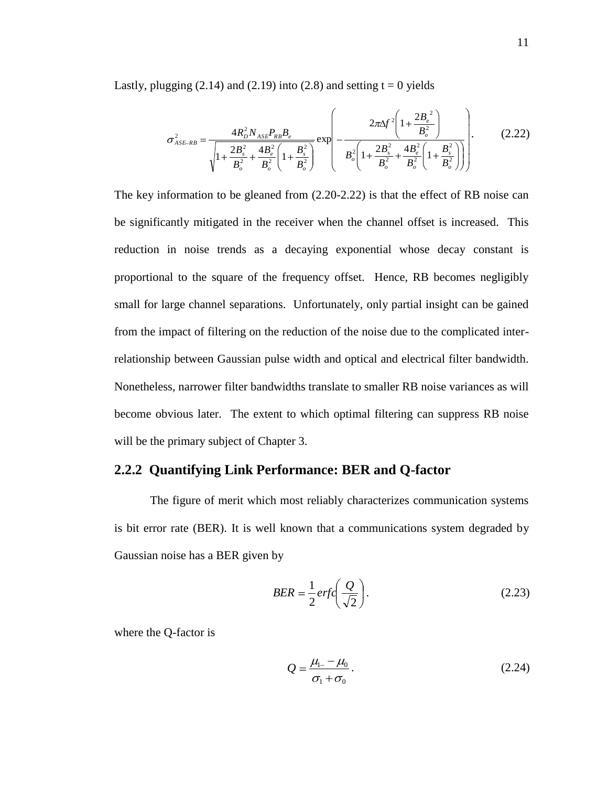Lastly, plugging  $(2.14)$  and  $(2.19)$  into  $(2.8)$  and setting  $t = 0$  yields

$$
\sigma_{ASE-RB}^2 = \frac{4R_D^2 N_{ASE} P_{RB} B_e}{\sqrt{1 + \frac{2B_s^2}{B_o^2} + \frac{4B_e^2}{B_o^2} \left(1 + \frac{B_s^2}{B_o^2}\right)}} \exp\left(-\frac{2\pi\Delta f^2 \left(1 + \frac{2B_e^2}{B_o^2}\right)}{B_o^2 \left(1 + \frac{2B_s^2}{B_o^2} + \frac{4B_e^2}{B_o^2}\left(1 + \frac{B_s^2}{B_o^2}\right)\right)}\right).
$$
(2.22)

The key information to be gleaned from (2.20-2.22) is that the effect of RB noise can be significantly mitigated in the receiver when the channel offset is increased. This reduction in noise trends as a decaying exponential whose decay constant is proportional to the square of the frequency offset. Hence, RB becomes negligibly small for large channel separations. Unfortunately, only partial insight can be gained from the impact of filtering on the reduction of the noise due to the complicated interrelationship between Gaussian pulse width and optical and electrical filter bandwidth. Nonetheless, narrower filter bandwidths translate to smaller RB noise variances as will become obvious later. The extent to which optimal filtering can suppress RB noise will be the primary subject of Chapter 3.

# **2.2.2 Quantifying Link Performance: BER and Q-factor**

The figure of merit which most reliably characterizes communication systems is bit error rate (BER). It is well known that a communications system degraded by Gaussian noise has a BER given by

$$
BER = \frac{1}{2}erfc\left(\frac{Q}{\sqrt{2}}\right). \tag{2.23}
$$

where the Q-factor is

$$
Q = \frac{\mu_{1-} - \mu_0}{\sigma_1 + \sigma_0}.
$$
 (2.24)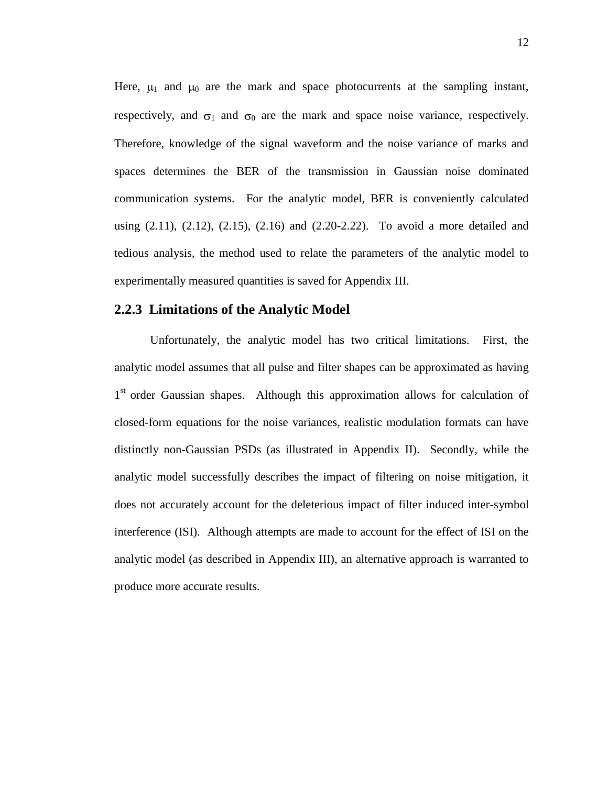Here,  $\mu_1$  and  $\mu_0$  are the mark and space photocurrents at the sampling instant, respectively, and  $\sigma_1$  and  $\sigma_0$  are the mark and space noise variance, respectively. Therefore, knowledge of the signal waveform and the noise variance of marks and spaces determines the BER of the transmission in Gaussian noise dominated communication systems. For the analytic model, BER is conveniently calculated using (2.11), (2.12), (2.15), (2.16) and (2.20-2.22). To avoid a more detailed and tedious analysis, the method used to relate the parameters of the analytic model to experimentally measured quantities is saved for Appendix III.

#### **2.2.3 Limitations of the Analytic Model**

Unfortunately, the analytic model has two critical limitations. First, the analytic model assumes that all pulse and filter shapes can be approximated as having 1<sup>st</sup> order Gaussian shapes. Although this approximation allows for calculation of closed-form equations for the noise variances, realistic modulation formats can have distinctly non-Gaussian PSDs (as illustrated in Appendix II). Secondly, while the analytic model successfully describes the impact of filtering on noise mitigation, it does not accurately account for the deleterious impact of filter induced inter-symbol interference (ISI). Although attempts are made to account for the effect of ISI on the analytic model (as described in Appendix III), an alternative approach is warranted to produce more accurate results.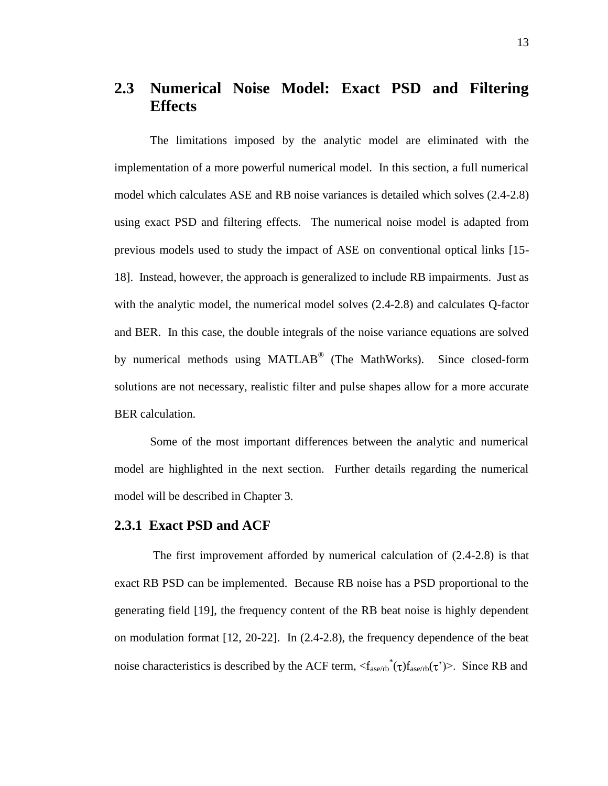# **2.3 Numerical Noise Model: Exact PSD and Filtering Effects**

The limitations imposed by the analytic model are eliminated with the implementation of a more powerful numerical model. In this section, a full numerical model which calculates ASE and RB noise variances is detailed which solves (2.4-2.8) using exact PSD and filtering effects. The numerical noise model is adapted from previous models used to study the impact of ASE on conventional optical links [15- 18]. Instead, however, the approach is generalized to include RB impairments. Just as with the analytic model, the numerical model solves (2.4-2.8) and calculates Q-factor and BER. In this case, the double integrals of the noise variance equations are solved by numerical methods using MATLAB<sup>®</sup> (The MathWorks). Since closed-form solutions are not necessary, realistic filter and pulse shapes allow for a more accurate BER calculation.

Some of the most important differences between the analytic and numerical model are highlighted in the next section. Further details regarding the numerical model will be described in Chapter 3.

## **2.3.1 Exact PSD and ACF**

The first improvement afforded by numerical calculation of (2.4-2.8) is that exact RB PSD can be implemented. Because RB noise has a PSD proportional to the generating field [19], the frequency content of the RB beat noise is highly dependent on modulation format [12, 20-22]. In (2.4-2.8), the frequency dependence of the beat noise characteristics is described by the ACF term,  $\langle f_{\text{ase/rb}}(\tau) f_{\text{ase/rb}}(\tau') \rangle$ . Since RB and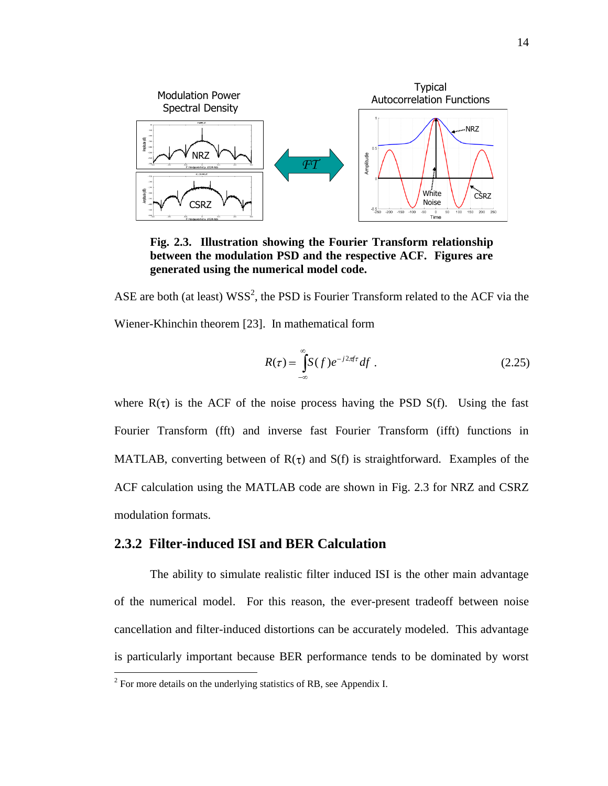

**Fig. 2.3. Illustration showing the Fourier Transform relationship between the modulation PSD and the respective ACF. Figures are generated using the numerical model code.**

ASE are both (at least)  $WSS^2$ , the PSD is Fourier Transform related to the ACF via the Wiener-Khinchin theorem [23]. In mathematical form

$$
R(\tau) = \int_{-\infty}^{\infty} S(f) e^{-j2\pi f \tau} df.
$$
 (2.25)

where  $R(\tau)$  is the ACF of the noise process having the PSD S(f). Using the fast Fourier Transform (fft) and inverse fast Fourier Transform (ifft) functions in MATLAB, converting between of  $R(\tau)$  and  $S(f)$  is straightforward. Examples of the ACF calculation using the MATLAB code are shown in Fig. 2.3 for NRZ and CSRZ modulation formats.

### **2.3.2 Filter-induced ISI and BER Calculation**

The ability to simulate realistic filter induced ISI is the other main advantage of the numerical model. For this reason, the ever-present tradeoff between noise cancellation and filter-induced distortions can be accurately modeled. This advantage is particularly important because BER performance tends to be dominated by worst

 $\overline{a}$ 

 $2^2$  For more details on the underlying statistics of RB, see Appendix I.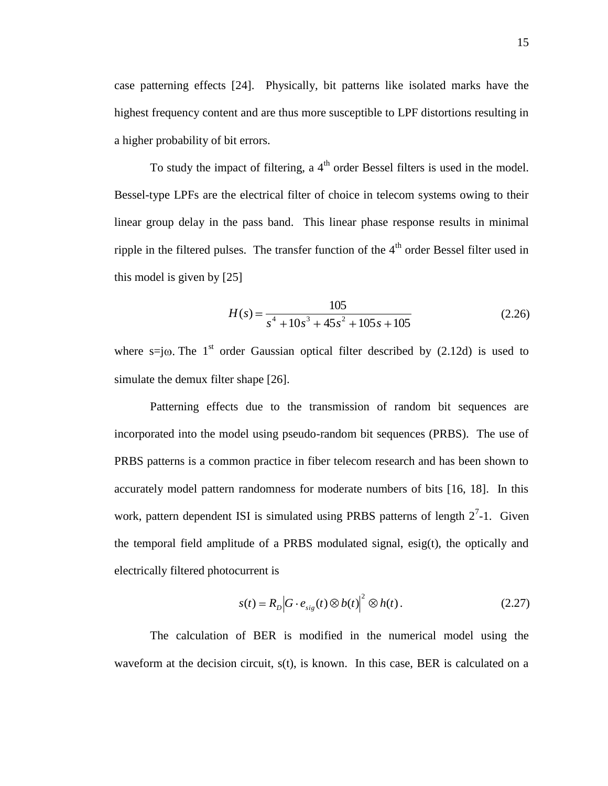case patterning effects [24]. Physically, bit patterns like isolated marks have the highest frequency content and are thus more susceptible to LPF distortions resulting in a higher probability of bit errors.

To study the impact of filtering, a 4<sup>th</sup> order Bessel filters is used in the model. Bessel-type LPFs are the electrical filter of choice in telecom systems owing to their linear group delay in the pass band. This linear phase response results in minimal ripple in the filtered pulses. The transfer function of the  $4<sup>th</sup>$  order Bessel filter used in this model is given by [25]

$$
H(s) = \frac{105}{s^4 + 10s^3 + 45s^2 + 105s + 105}
$$
 (2.26)

where  $s=jo$ . The 1<sup>st</sup> order Gaussian optical filter described by (2.12d) is used to simulate the demux filter shape [26].

Patterning effects due to the transmission of random bit sequences are incorporated into the model using pseudo-random bit sequences (PRBS). The use of PRBS patterns is a common practice in fiber telecom research and has been shown to accurately model pattern randomness for moderate numbers of bits [16, 18]. In this work, pattern dependent ISI is simulated using PRBS patterns of length  $2<sup>7</sup>$ -1. Given the temporal field amplitude of a PRBS modulated signal, esig(t), the optically and electrically filtered photocurrent is

$$
s(t) = R_D |G \cdot e_{sig}(t) \otimes b(t)|^2 \otimes h(t).
$$
 (2.27)

The calculation of BER is modified in the numerical model using the waveform at the decision circuit,  $s(t)$ , is known. In this case, BER is calculated on a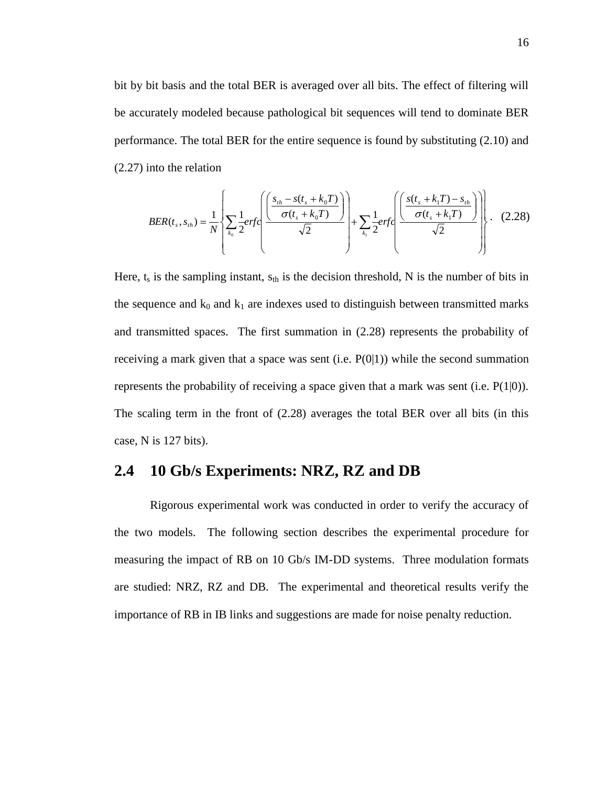bit by bit basis and the total BER is averaged over all bits. The effect of filtering will be accurately modeled because pathological bit sequences will tend to dominate BER performance. The total BER for the entire sequence is found by substituting (2.10) and (2.27) into the relation

$$
BER(t_s, s_{th}) = \frac{1}{N} \left\{ \sum_{k_0} \frac{1}{2} erfc\left(\frac{\left(\frac{s_{th} - s(t_s + k_0 T)}{\sigma(t_s + k_0 T)}\right)}{\sqrt{2}}\right) + \sum_{k_1} \frac{1}{2} erfc\left(\frac{s(t_s + k_1 T) - s_{th}}{\sqrt{2}}\right) \right\}.
$$
 (2.28)

Here,  $t_s$  is the sampling instant,  $s_{th}$  is the decision threshold, N is the number of bits in the sequence and  $k_0$  and  $k_1$  are indexes used to distinguish between transmitted marks and transmitted spaces. The first summation in (2.28) represents the probability of receiving a mark given that a space was sent (i.e.  $P(0|1)$ ) while the second summation represents the probability of receiving a space given that a mark was sent (i.e. P(1|0)). The scaling term in the front of (2.28) averages the total BER over all bits (in this case, N is 127 bits).

# **2.4 10 Gb/s Experiments: NRZ, RZ and DB**

Rigorous experimental work was conducted in order to verify the accuracy of the two models. The following section describes the experimental procedure for measuring the impact of RB on 10 Gb/s IM-DD systems. Three modulation formats are studied: NRZ, RZ and DB. The experimental and theoretical results verify the importance of RB in IB links and suggestions are made for noise penalty reduction.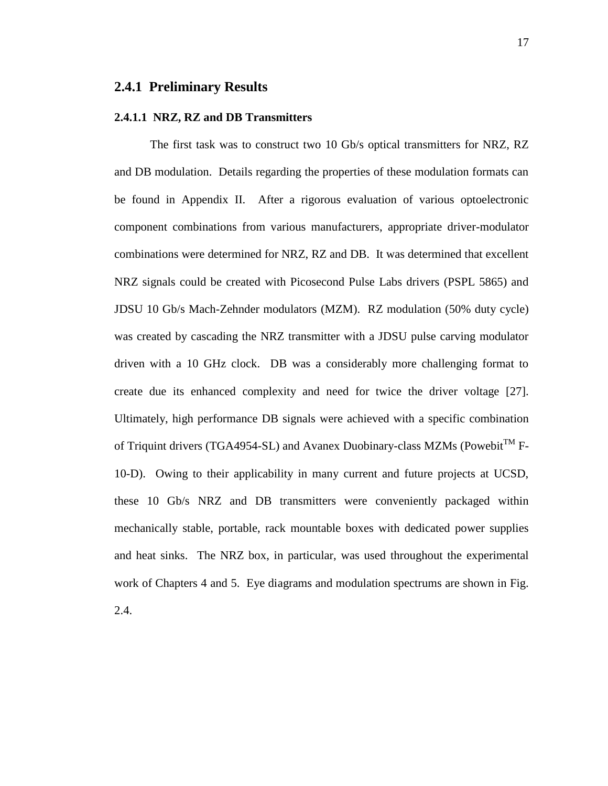### **2.4.1 Preliminary Results**

#### **2.4.1.1 NRZ, RZ and DB Transmitters**

The first task was to construct two 10 Gb/s optical transmitters for NRZ, RZ and DB modulation. Details regarding the properties of these modulation formats can be found in Appendix II. After a rigorous evaluation of various optoelectronic component combinations from various manufacturers, appropriate driver-modulator combinations were determined for NRZ, RZ and DB. It was determined that excellent NRZ signals could be created with Picosecond Pulse Labs drivers (PSPL 5865) and JDSU 10 Gb/s Mach-Zehnder modulators (MZM). RZ modulation (50% duty cycle) was created by cascading the NRZ transmitter with a JDSU pulse carving modulator driven with a 10 GHz clock. DB was a considerably more challenging format to create due its enhanced complexity and need for twice the driver voltage [27]. Ultimately, high performance DB signals were achieved with a specific combination of Triquint drivers (TGA4954-SL) and Avanex Duobinary-class MZMs (Powebit<sup>TM</sup> F-10-D). Owing to their applicability in many current and future projects at UCSD, these 10 Gb/s NRZ and DB transmitters were conveniently packaged within mechanically stable, portable, rack mountable boxes with dedicated power supplies and heat sinks. The NRZ box, in particular, was used throughout the experimental work of Chapters 4 and 5. Eye diagrams and modulation spectrums are shown in Fig. 2.4.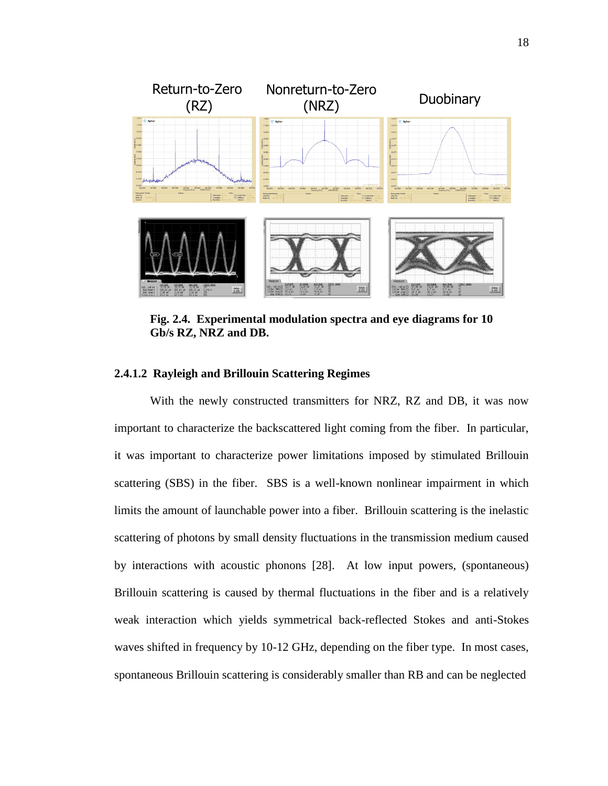

**Fig. 2.4. Experimental modulation spectra and eye diagrams for 10 Gb/s RZ, NRZ and DB.** 

#### **2.4.1.2 Rayleigh and Brillouin Scattering Regimes**

With the newly constructed transmitters for NRZ, RZ and DB, it was now important to characterize the backscattered light coming from the fiber. In particular, it was important to characterize power limitations imposed by stimulated Brillouin scattering (SBS) in the fiber. SBS is a well-known nonlinear impairment in which limits the amount of launchable power into a fiber. Brillouin scattering is the inelastic scattering of photons by small density fluctuations in the transmission medium caused by interactions with acoustic phonons [28]. At low input powers, (spontaneous) Brillouin scattering is caused by thermal fluctuations in the fiber and is a relatively weak interaction which yields symmetrical back-reflected Stokes and anti-Stokes waves shifted in frequency by 10-12 GHz, depending on the fiber type. In most cases, spontaneous Brillouin scattering is considerably smaller than RB and can be neglected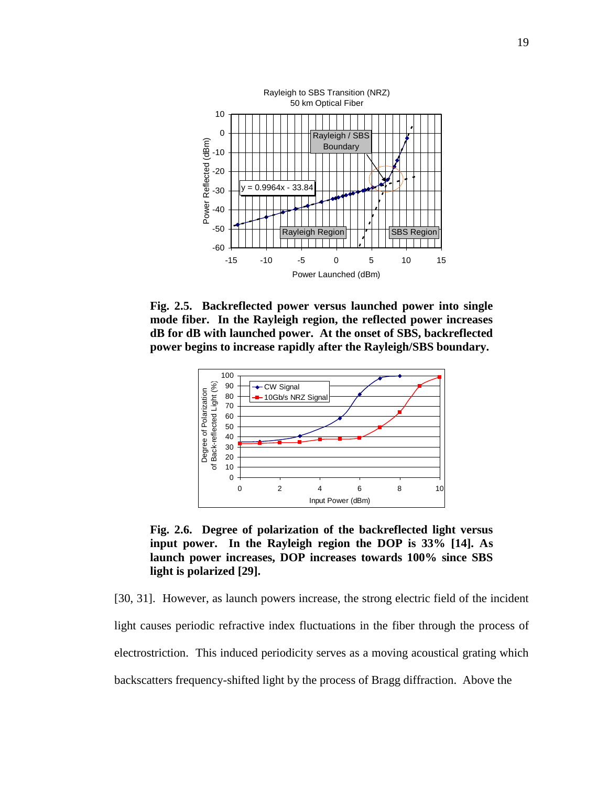

**Fig. 2.5. Backreflected power versus launched power into single mode fiber. In the Rayleigh region, the reflected power increases dB for dB with launched power. At the onset of SBS, backreflected power begins to increase rapidly after the Rayleigh/SBS boundary.** 



**Fig. 2.6. Degree of polarization of the backreflected light versus input power. In the Rayleigh region the DOP is 33% [14]. As launch power increases, DOP increases towards 100% since SBS light is polarized [29].**

[30, 31]. However, as launch powers increase, the strong electric field of the incident light causes periodic refractive index fluctuations in the fiber through the process of electrostriction. This induced periodicity serves as a moving acoustical grating which backscatters frequency-shifted light by the process of Bragg diffraction. Above the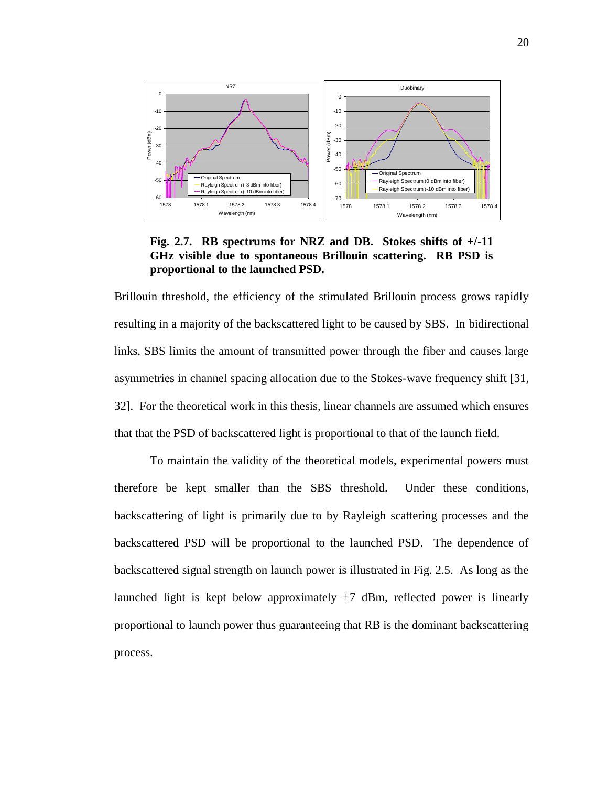

**Fig. 2.7. RB spectrums for NRZ and DB. Stokes shifts of +/-11 GHz visible due to spontaneous Brillouin scattering. RB PSD is proportional to the launched PSD.**

Brillouin threshold, the efficiency of the stimulated Brillouin process grows rapidly resulting in a majority of the backscattered light to be caused by SBS. In bidirectional links, SBS limits the amount of transmitted power through the fiber and causes large asymmetries in channel spacing allocation due to the Stokes-wave frequency shift [31, 32]. For the theoretical work in this thesis, linear channels are assumed which ensures that that the PSD of backscattered light is proportional to that of the launch field.

To maintain the validity of the theoretical models, experimental powers must therefore be kept smaller than the SBS threshold. Under these conditions, backscattering of light is primarily due to by Rayleigh scattering processes and the backscattered PSD will be proportional to the launched PSD. The dependence of backscattered signal strength on launch power is illustrated in Fig. 2.5. As long as the launched light is kept below approximately  $+7$  dBm, reflected power is linearly proportional to launch power thus guaranteeing that RB is the dominant backscattering process.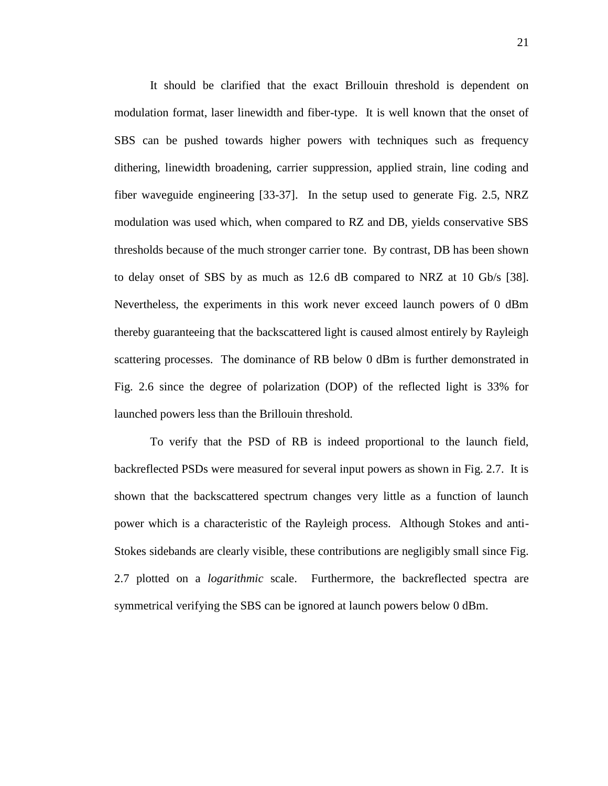It should be clarified that the exact Brillouin threshold is dependent on modulation format, laser linewidth and fiber-type. It is well known that the onset of SBS can be pushed towards higher powers with techniques such as frequency dithering, linewidth broadening, carrier suppression, applied strain, line coding and fiber waveguide engineering [33-37]. In the setup used to generate Fig. 2.5, NRZ modulation was used which, when compared to RZ and DB, yields conservative SBS thresholds because of the much stronger carrier tone. By contrast, DB has been shown to delay onset of SBS by as much as 12.6 dB compared to NRZ at 10 Gb/s [38]. Nevertheless, the experiments in this work never exceed launch powers of 0 dBm thereby guaranteeing that the backscattered light is caused almost entirely by Rayleigh scattering processes. The dominance of RB below 0 dBm is further demonstrated in Fig. 2.6 since the degree of polarization (DOP) of the reflected light is 33% for launched powers less than the Brillouin threshold.

To verify that the PSD of RB is indeed proportional to the launch field, backreflected PSDs were measured for several input powers as shown in Fig. 2.7. It is shown that the backscattered spectrum changes very little as a function of launch power which is a characteristic of the Rayleigh process. Although Stokes and anti-Stokes sidebands are clearly visible, these contributions are negligibly small since Fig. 2.7 plotted on a *logarithmic* scale. Furthermore, the backreflected spectra are symmetrical verifying the SBS can be ignored at launch powers below 0 dBm.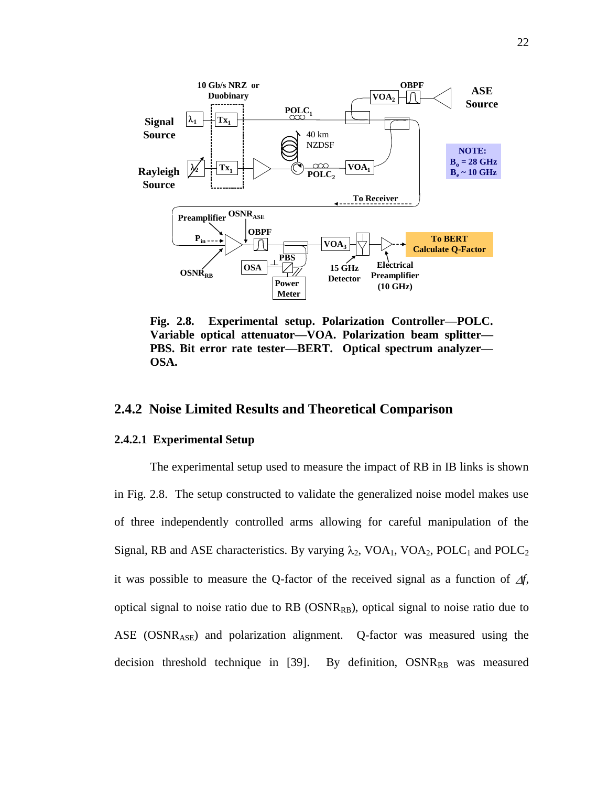

**Fig. 2.8. Experimental setup. Polarization Controller—POLC. Variable optical attenuator—VOA. Polarization beam splitter— PBS. Bit error rate tester—BERT. Optical spectrum analyzer— OSA.**

### **2.4.2 Noise Limited Results and Theoretical Comparison**

#### **2.4.2.1 Experimental Setup**

The experimental setup used to measure the impact of RB in IB links is shown in Fig. 2.8. The setup constructed to validate the generalized noise model makes use of three independently controlled arms allowing for careful manipulation of the Signal, RB and ASE characteristics. By varying  $\lambda_2$ , VOA<sub>1</sub>, VOA<sub>2</sub>, POLC<sub>1</sub> and POLC<sub>2</sub> it was possible to measure the O-factor of the received signal as a function of  $\Delta f$ , optical signal to noise ratio due to  $RB$  (OSN $R_{RB}$ ), optical signal to noise ratio due to ASE (OSNRASE) and polarization alignment. Q-factor was measured using the decision threshold technique in [39]. By definition,  $OSNR_{RB}$  was measured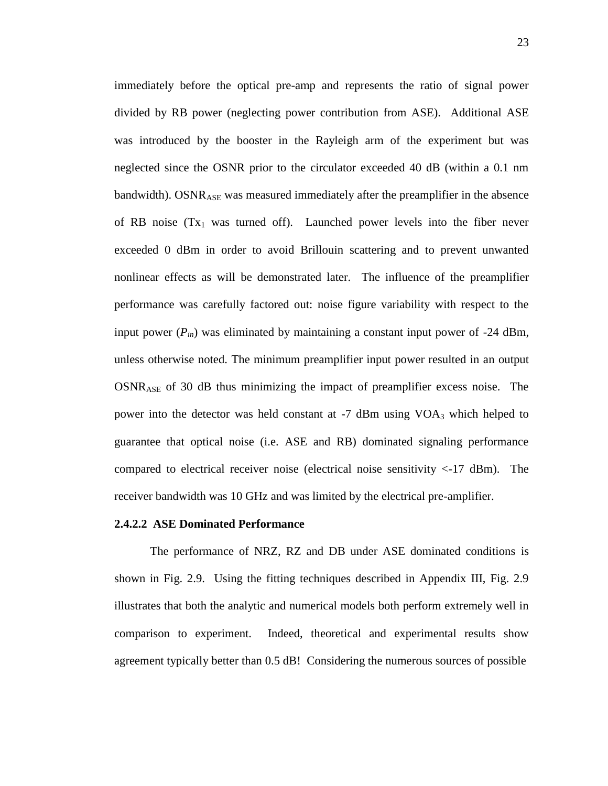immediately before the optical pre-amp and represents the ratio of signal power divided by RB power (neglecting power contribution from ASE). Additional ASE was introduced by the booster in the Rayleigh arm of the experiment but was neglected since the OSNR prior to the circulator exceeded 40 dB (within a 0.1 nm bandwidth). OSNR<sub>ASE</sub> was measured immediately after the preamplifier in the absence of RB noise  $(Tx_1$  was turned off). Launched power levels into the fiber never exceeded 0 dBm in order to avoid Brillouin scattering and to prevent unwanted nonlinear effects as will be demonstrated later. The influence of the preamplifier performance was carefully factored out: noise figure variability with respect to the input power  $(P_{in})$  was eliminated by maintaining a constant input power of -24 dBm, unless otherwise noted. The minimum preamplifier input power resulted in an output OSNRASE of 30 dB thus minimizing the impact of preamplifier excess noise. The power into the detector was held constant at -7 dBm using VOA<sup>3</sup> which helped to guarantee that optical noise (i.e. ASE and RB) dominated signaling performance compared to electrical receiver noise (electrical noise sensitivity  $\langle$ -17 dBm). The receiver bandwidth was 10 GHz and was limited by the electrical pre-amplifier.

#### **2.4.2.2 ASE Dominated Performance**

The performance of NRZ, RZ and DB under ASE dominated conditions is shown in Fig. 2.9. Using the fitting techniques described in Appendix III, Fig. 2.9 illustrates that both the analytic and numerical models both perform extremely well in comparison to experiment. Indeed, theoretical and experimental results show agreement typically better than 0.5 dB! Considering the numerous sources of possible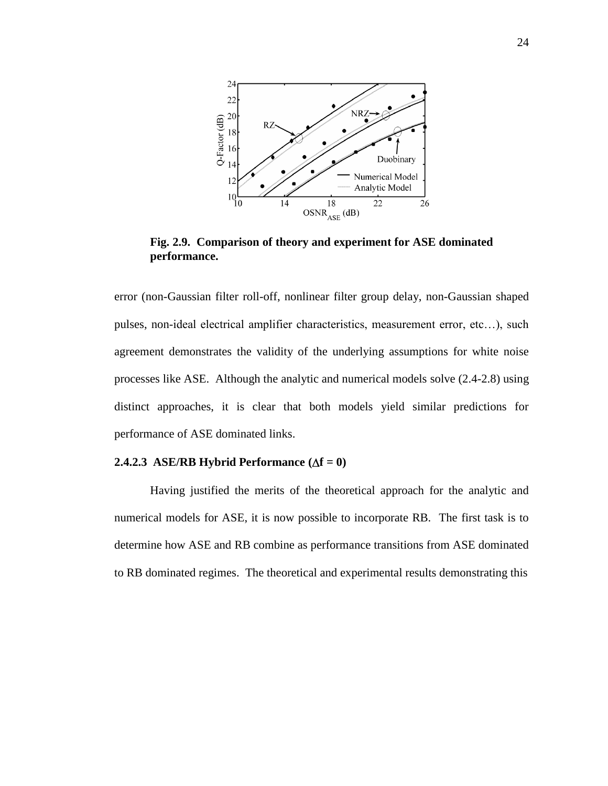

**Fig. 2.9. Comparison of theory and experiment for ASE dominated performance.** 

error (non-Gaussian filter roll-off, nonlinear filter group delay, non-Gaussian shaped pulses, non-ideal electrical amplifier characteristics, measurement error, etc…), such agreement demonstrates the validity of the underlying assumptions for white noise processes like ASE. Although the analytic and numerical models solve (2.4-2.8) using distinct approaches, it is clear that both models yield similar predictions for performance of ASE dominated links.

#### **2.4.2.3 ASE/RB Hybrid Performance**  $(\Delta f = 0)$

Having justified the merits of the theoretical approach for the analytic and numerical models for ASE, it is now possible to incorporate RB. The first task is to determine how ASE and RB combine as performance transitions from ASE dominated to RB dominated regimes. The theoretical and experimental results demonstrating this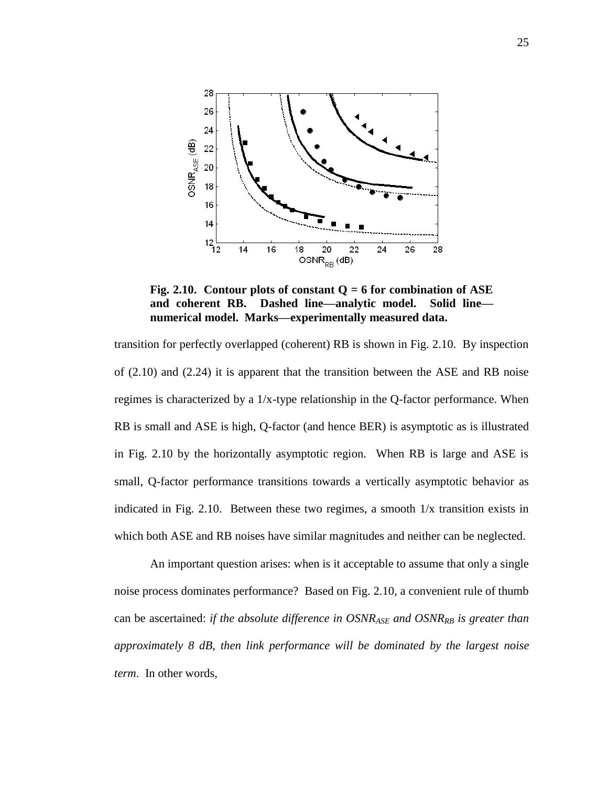

**Fig. 2.10. Contour plots of constant Q = 6 for combination of ASE and coherent RB. Dashed line—analytic model. Solid line numerical model. Marks—experimentally measured data.** 

transition for perfectly overlapped (coherent) RB is shown in Fig. 2.10. By inspection of (2.10) and (2.24) it is apparent that the transition between the ASE and RB noise regimes is characterized by a 1/x-type relationship in the Q-factor performance. When RB is small and ASE is high, Q-factor (and hence BER) is asymptotic as is illustrated in Fig. 2.10 by the horizontally asymptotic region. When RB is large and ASE is small, Q-factor performance transitions towards a vertically asymptotic behavior as indicated in Fig. 2.10. Between these two regimes, a smooth 1/x transition exists in which both ASE and RB noises have similar magnitudes and neither can be neglected.

An important question arises: when is it acceptable to assume that only a single noise process dominates performance? Based on Fig. 2.10, a convenient rule of thumb can be ascertained: *if the absolute difference in OSNRASE and OSNRRB is greater than approximately 8 dB, then link performance will be dominated by the largest noise term*. In other words,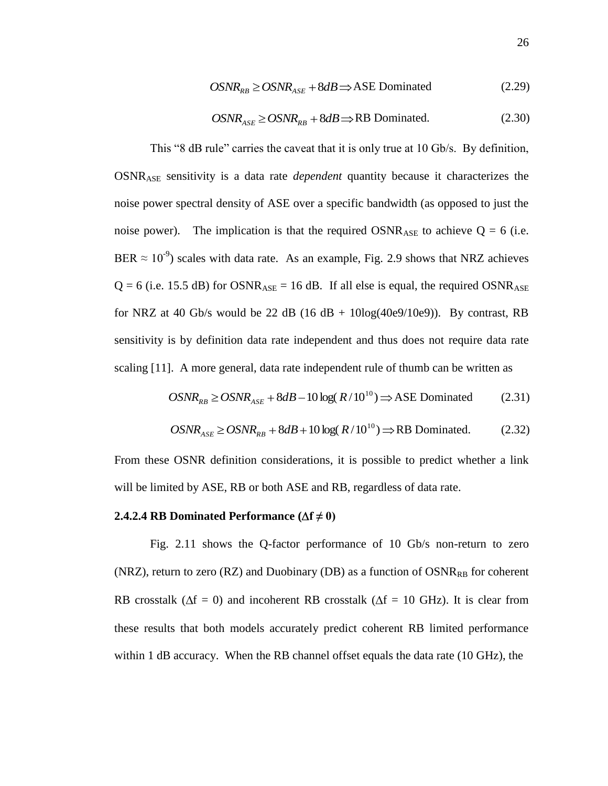$$
OSNR_{RB} \geq OSNR_{ASE} + 8dB \Longrightarrow \text{ASE Dominated} \tag{2.29}
$$

$$
OSNR_{ASE} \geq OSNR_{RB} + 8dB \Longrightarrow RB \text{ Dominated.}
$$
 (2.30)

This "8 dB rule" carries the caveat that it is only true at 10 Gb/s. By definition, OSNRASE sensitivity is a data rate *dependent* quantity because it characterizes the noise power spectral density of ASE over a specific bandwidth (as opposed to just the noise power). The implication is that the required  $OSNR_{ASE}$  to achieve  $Q = 6$  (i.e. BER  $\approx 10^{-9}$ ) scales with data rate. As an example, Fig. 2.9 shows that NRZ achieves  $Q = 6$  (i.e. 15.5 dB) for OSNR<sub>ASE</sub> = 16 dB. If all else is equal, the required OSNR<sub>ASE</sub> for NRZ at 40 Gb/s would be 22 dB (16 dB + 10log(40e9/10e9)). By contrast, RB sensitivity is by definition data rate independent and thus does not require data rate scaling [11]. A more general, data rate independent rule of thumb can be written as

$$
OSNR_{RB} \geq OSNR_{ASE} + 8dB - 10 \log(R/10^{10}) \Rightarrow \text{ASE Dominated} \tag{2.31}
$$

$$
OSNR_{\scriptscriptstyle ASE} \geq OSNR_{\scriptscriptstyle RB} + 8dB + 10\log(R/10^{10}) \Longrightarrow RB\ Dominated. \tag{2.32}
$$

From these OSNR definition considerations, it is possible to predict whether a link will be limited by ASE, RB or both ASE and RB, regardless of data rate.

#### **2.4.2.4 RB Dominated Performance**  $(\Delta f \neq 0)$

Fig. 2.11 shows the Q-factor performance of 10 Gb/s non-return to zero (NRZ), return to zero (RZ) and Duobinary (DB) as a function of  $OSNR_{RB}$  for coherent RB crosstalk ( $\Delta f = 0$ ) and incoherent RB crosstalk ( $\Delta f = 10$  GHz). It is clear from these results that both models accurately predict coherent RB limited performance within 1 dB accuracy. When the RB channel offset equals the data rate (10 GHz), the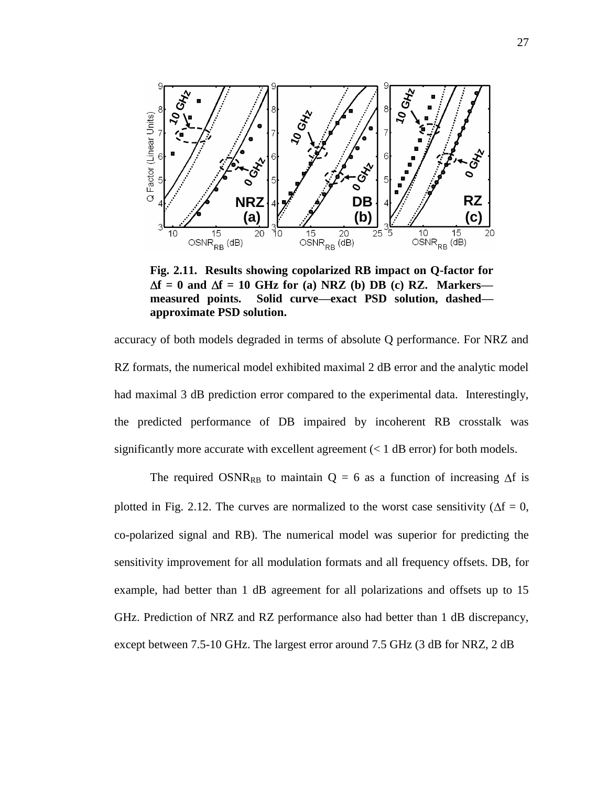

**Fig. 2.11. Results showing copolarized RB impact on Q-factor for**   $\Delta f = 0$  and  $\Delta f = 10$  GHz for (a) NRZ (b) DB (c) RZ. Markers **measured points. Solid curve—exact PSD solution, dashed approximate PSD solution.**

accuracy of both models degraded in terms of absolute Q performance. For NRZ and RZ formats, the numerical model exhibited maximal 2 dB error and the analytic model had maximal 3 dB prediction error compared to the experimental data. Interestingly, the predicted performance of DB impaired by incoherent RB crosstalk was significantly more accurate with excellent agreement  $(< 1$  dB error) for both models.

The required OSNR<sub>RB</sub> to maintain  $Q = 6$  as a function of increasing  $\Delta f$  is plotted in Fig. 2.12. The curves are normalized to the worst case sensitivity ( $\Delta f = 0$ , co-polarized signal and RB). The numerical model was superior for predicting the sensitivity improvement for all modulation formats and all frequency offsets. DB, for example, had better than 1 dB agreement for all polarizations and offsets up to 15 GHz. Prediction of NRZ and RZ performance also had better than 1 dB discrepancy, except between 7.5-10 GHz. The largest error around 7.5 GHz (3 dB for NRZ, 2 dB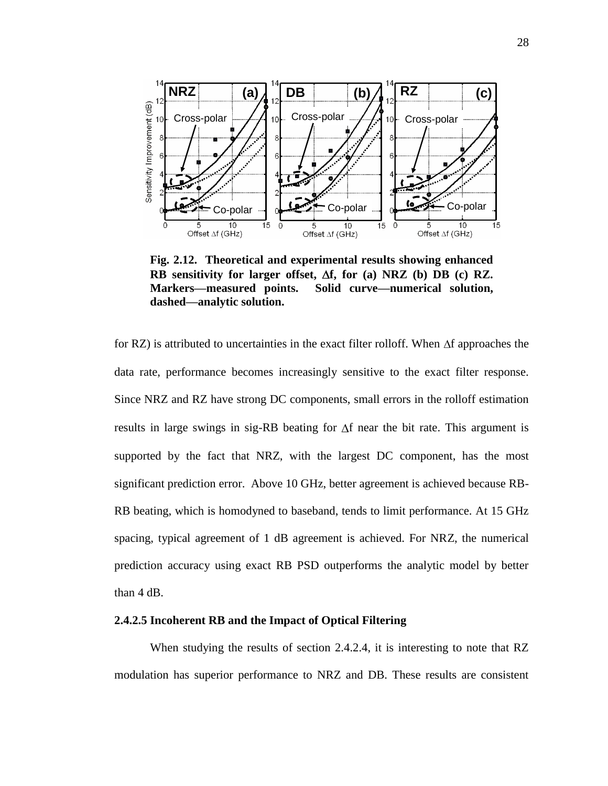

**Fig. 2.12. Theoretical and experimental results showing enhanced RB** sensitivity for larger offset,  $\Delta f$ , for (a) NRZ (b) DB (c) RZ. **Markers—measured points. Solid curve—numerical solution, dashed—analytic solution.**

for RZ) is attributed to uncertainties in the exact filter rolloff. When  $\Delta f$  approaches the data rate, performance becomes increasingly sensitive to the exact filter response. Since NRZ and RZ have strong DC components, small errors in the rolloff estimation results in large swings in sig-RB beating for  $\Delta f$  near the bit rate. This argument is supported by the fact that NRZ, with the largest DC component, has the most significant prediction error. Above 10 GHz, better agreement is achieved because RB-RB beating, which is homodyned to baseband, tends to limit performance. At 15 GHz spacing, typical agreement of 1 dB agreement is achieved. For NRZ, the numerical prediction accuracy using exact RB PSD outperforms the analytic model by better than 4 dB.

#### **2.4.2.5 Incoherent RB and the Impact of Optical Filtering**

When studying the results of section 2.4.2.4, it is interesting to note that RZ modulation has superior performance to NRZ and DB. These results are consistent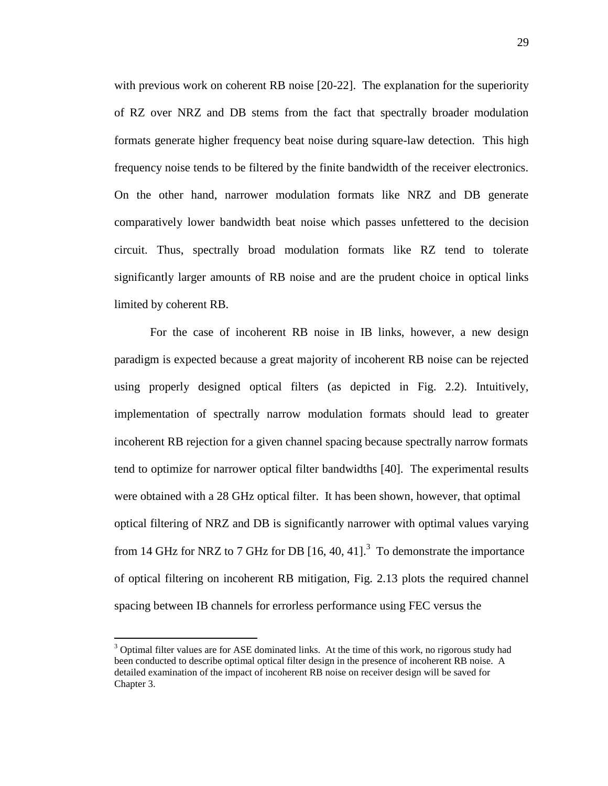with previous work on coherent RB noise [20-22]. The explanation for the superiority of RZ over NRZ and DB stems from the fact that spectrally broader modulation formats generate higher frequency beat noise during square-law detection. This high frequency noise tends to be filtered by the finite bandwidth of the receiver electronics. On the other hand, narrower modulation formats like NRZ and DB generate comparatively lower bandwidth beat noise which passes unfettered to the decision circuit. Thus, spectrally broad modulation formats like RZ tend to tolerate significantly larger amounts of RB noise and are the prudent choice in optical links limited by coherent RB.

For the case of incoherent RB noise in IB links, however, a new design paradigm is expected because a great majority of incoherent RB noise can be rejected using properly designed optical filters (as depicted in Fig. 2.2). Intuitively, implementation of spectrally narrow modulation formats should lead to greater incoherent RB rejection for a given channel spacing because spectrally narrow formats tend to optimize for narrower optical filter bandwidths [40]. The experimental results were obtained with a 28 GHz optical filter. It has been shown, however, that optimal optical filtering of NRZ and DB is significantly narrower with optimal values varying from 14 GHz for NRZ to 7 GHz for DB  $[16, 40, 41]$ .<sup>3</sup> To demonstrate the importance of optical filtering on incoherent RB mitigation, Fig. 2.13 plots the required channel spacing between IB channels for errorless performance using FEC versus the

 $\overline{a}$ 

 $3$  Optimal filter values are for ASE dominated links. At the time of this work, no rigorous study had been conducted to describe optimal optical filter design in the presence of incoherent RB noise. A detailed examination of the impact of incoherent RB noise on receiver design will be saved for Chapter 3.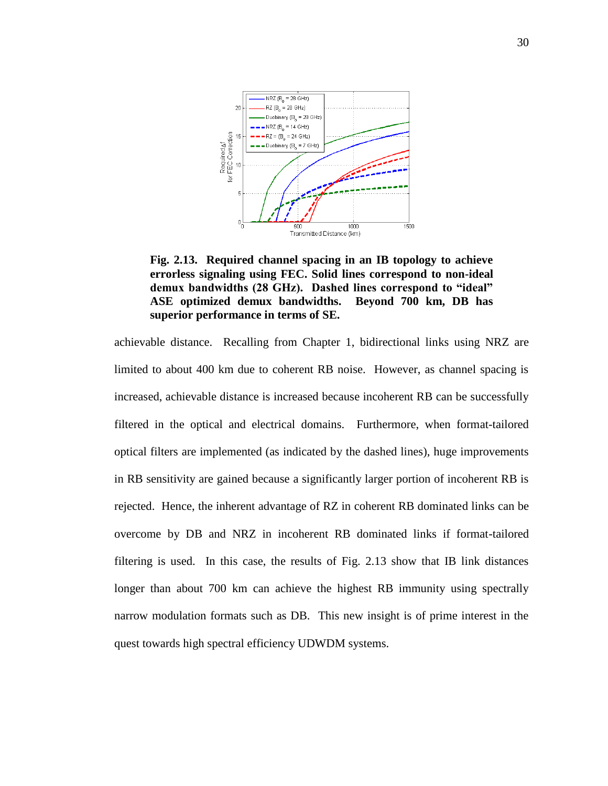

**Fig. 2.13. Required channel spacing in an IB topology to achieve errorless signaling using FEC. Solid lines correspond to non-ideal demux bandwidths (28 GHz). Dashed lines correspond to "ideal" ASE optimized demux bandwidths. Beyond 700 km, DB has superior performance in terms of SE.** 

achievable distance. Recalling from Chapter 1, bidirectional links using NRZ are limited to about 400 km due to coherent RB noise. However, as channel spacing is increased, achievable distance is increased because incoherent RB can be successfully filtered in the optical and electrical domains. Furthermore, when format-tailored optical filters are implemented (as indicated by the dashed lines), huge improvements in RB sensitivity are gained because a significantly larger portion of incoherent RB is rejected. Hence, the inherent advantage of RZ in coherent RB dominated links can be overcome by DB and NRZ in incoherent RB dominated links if format-tailored filtering is used. In this case, the results of Fig. 2.13 show that IB link distances longer than about 700 km can achieve the highest RB immunity using spectrally narrow modulation formats such as DB. This new insight is of prime interest in the quest towards high spectral efficiency UDWDM systems.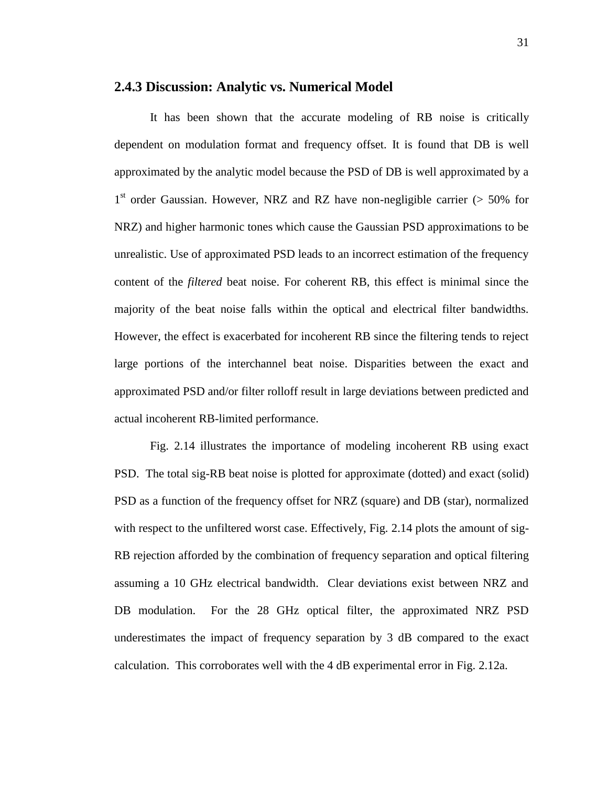#### **2.4.3 Discussion: Analytic vs. Numerical Model**

It has been shown that the accurate modeling of RB noise is critically dependent on modulation format and frequency offset. It is found that DB is well approximated by the analytic model because the PSD of DB is well approximated by a 1<sup>st</sup> order Gaussian. However, NRZ and RZ have non-negligible carrier (> 50% for NRZ) and higher harmonic tones which cause the Gaussian PSD approximations to be unrealistic. Use of approximated PSD leads to an incorrect estimation of the frequency content of the *filtered* beat noise. For coherent RB, this effect is minimal since the majority of the beat noise falls within the optical and electrical filter bandwidths. However, the effect is exacerbated for incoherent RB since the filtering tends to reject large portions of the interchannel beat noise. Disparities between the exact and approximated PSD and/or filter rolloff result in large deviations between predicted and actual incoherent RB-limited performance.

Fig. 2.14 illustrates the importance of modeling incoherent RB using exact PSD. The total sig-RB beat noise is plotted for approximate (dotted) and exact (solid) PSD as a function of the frequency offset for NRZ (square) and DB (star), normalized with respect to the unfiltered worst case. Effectively, Fig. 2.14 plots the amount of sig-RB rejection afforded by the combination of frequency separation and optical filtering assuming a 10 GHz electrical bandwidth. Clear deviations exist between NRZ and DB modulation. For the 28 GHz optical filter, the approximated NRZ PSD underestimates the impact of frequency separation by 3 dB compared to the exact calculation. This corroborates well with the 4 dB experimental error in Fig. 2.12a.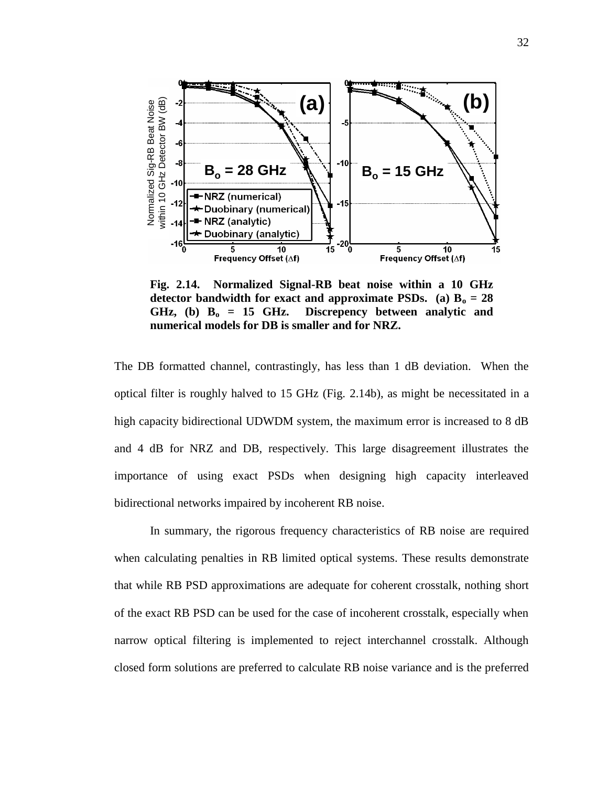

**Fig. 2.14. Normalized Signal-RB beat noise within a 10 GHz**  detector bandwidth for exact and approximate PSDs. (a)  $B_0 = 28$ **GHz, (b) B<sup>o</sup> = 15 GHz. Discrepency between analytic and numerical models for DB is smaller and for NRZ.**

The DB formatted channel, contrastingly, has less than 1 dB deviation. When the optical filter is roughly halved to 15 GHz (Fig. 2.14b), as might be necessitated in a high capacity bidirectional UDWDM system, the maximum error is increased to 8 dB and 4 dB for NRZ and DB, respectively. This large disagreement illustrates the importance of using exact PSDs when designing high capacity interleaved bidirectional networks impaired by incoherent RB noise.

In summary, the rigorous frequency characteristics of RB noise are required when calculating penalties in RB limited optical systems. These results demonstrate that while RB PSD approximations are adequate for coherent crosstalk, nothing short of the exact RB PSD can be used for the case of incoherent crosstalk, especially when narrow optical filtering is implemented to reject interchannel crosstalk. Although closed form solutions are preferred to calculate RB noise variance and is the preferred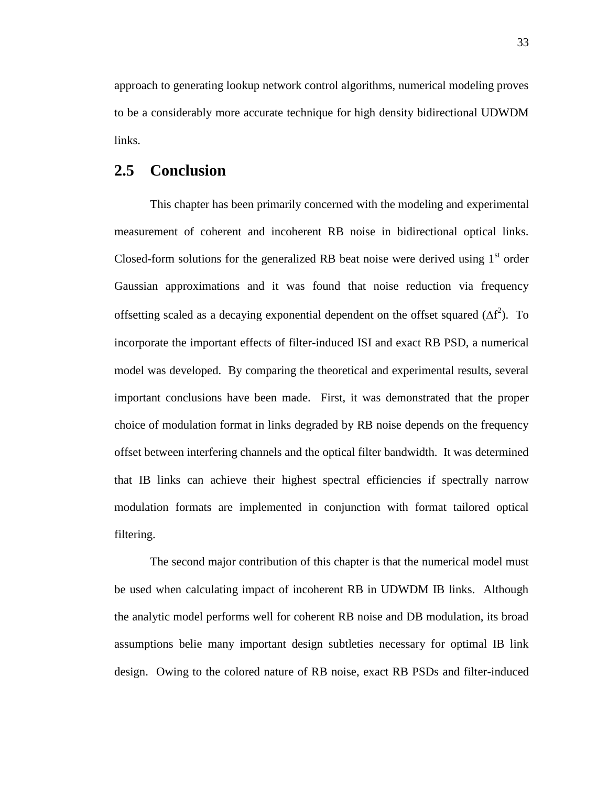approach to generating lookup network control algorithms, numerical modeling proves to be a considerably more accurate technique for high density bidirectional UDWDM links.

# **2.5 Conclusion**

This chapter has been primarily concerned with the modeling and experimental measurement of coherent and incoherent RB noise in bidirectional optical links. Closed-form solutions for the generalized RB beat noise were derived using  $1<sup>st</sup>$  order Gaussian approximations and it was found that noise reduction via frequency offsetting scaled as a decaying exponential dependent on the offset squared  $(\Delta f^2)$ . To incorporate the important effects of filter-induced ISI and exact RB PSD, a numerical model was developed. By comparing the theoretical and experimental results, several important conclusions have been made. First, it was demonstrated that the proper choice of modulation format in links degraded by RB noise depends on the frequency offset between interfering channels and the optical filter bandwidth. It was determined that IB links can achieve their highest spectral efficiencies if spectrally narrow modulation formats are implemented in conjunction with format tailored optical filtering.

The second major contribution of this chapter is that the numerical model must be used when calculating impact of incoherent RB in UDWDM IB links. Although the analytic model performs well for coherent RB noise and DB modulation, its broad assumptions belie many important design subtleties necessary for optimal IB link design. Owing to the colored nature of RB noise, exact RB PSDs and filter-induced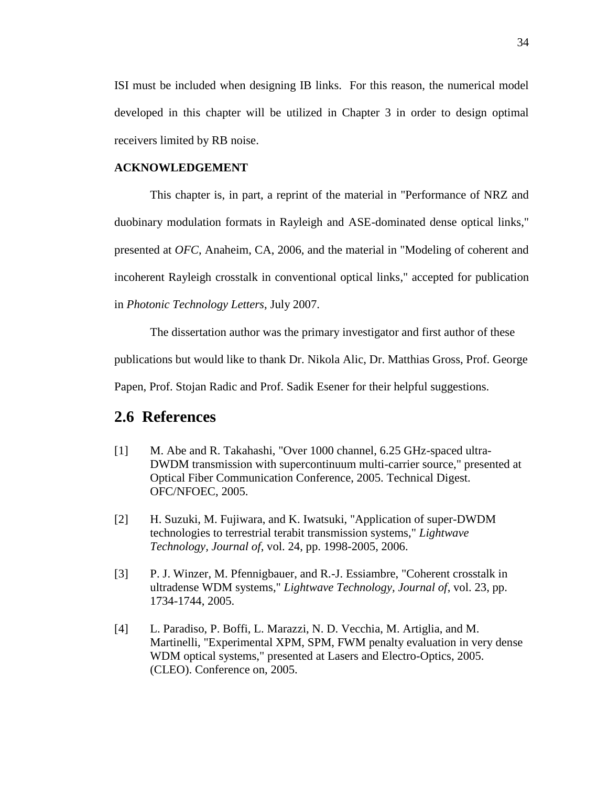ISI must be included when designing IB links. For this reason, the numerical model developed in this chapter will be utilized in Chapter 3 in order to design optimal receivers limited by RB noise.

#### **ACKNOWLEDGEMENT**

This chapter is, in part, a reprint of the material in "Performance of NRZ and duobinary modulation formats in Rayleigh and ASE-dominated dense optical links," presented at *OFC*, Anaheim, CA, 2006, and the material in "Modeling of coherent and incoherent Rayleigh crosstalk in conventional optical links," accepted for publication in *Photonic Technology Letters*, July 2007.

The dissertation author was the primary investigator and first author of these

publications but would like to thank Dr. Nikola Alic, Dr. Matthias Gross, Prof. George

Papen, Prof. Stojan Radic and Prof. Sadik Esener for their helpful suggestions.

# **2.6 References**

- [1] M. Abe and R. Takahashi, "Over 1000 channel, 6.25 GHz-spaced ultra-DWDM transmission with supercontinuum multi-carrier source," presented at Optical Fiber Communication Conference, 2005. Technical Digest. OFC/NFOEC, 2005.
- [2] H. Suzuki, M. Fujiwara, and K. Iwatsuki, "Application of super-DWDM technologies to terrestrial terabit transmission systems," *Lightwave Technology, Journal of*, vol. 24, pp. 1998-2005, 2006.
- [3] P. J. Winzer, M. Pfennigbauer, and R.-J. Essiambre, "Coherent crosstalk in ultradense WDM systems," *Lightwave Technology, Journal of*, vol. 23, pp. 1734-1744, 2005.
- [4] L. Paradiso, P. Boffi, L. Marazzi, N. D. Vecchia, M. Artiglia, and M. Martinelli, "Experimental XPM, SPM, FWM penalty evaluation in very dense WDM optical systems," presented at Lasers and Electro-Optics, 2005. (CLEO). Conference on, 2005.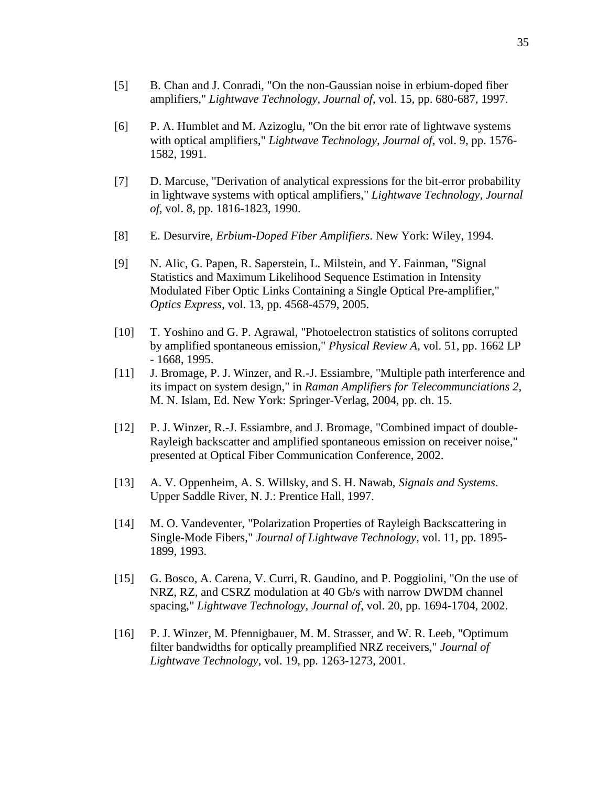- [5] B. Chan and J. Conradi, "On the non-Gaussian noise in erbium-doped fiber amplifiers," *Lightwave Technology, Journal of*, vol. 15, pp. 680-687, 1997.
- [6] P. A. Humblet and M. Azizoglu, "On the bit error rate of lightwave systems with optical amplifiers," *Lightwave Technology, Journal of*, vol. 9, pp. 1576- 1582, 1991.
- [7] D. Marcuse, "Derivation of analytical expressions for the bit-error probability in lightwave systems with optical amplifiers," *Lightwave Technology, Journal of*, vol. 8, pp. 1816-1823, 1990.
- [8] E. Desurvire, *Erbium-Doped Fiber Amplifiers*. New York: Wiley, 1994.
- [9] N. Alic, G. Papen, R. Saperstein, L. Milstein, and Y. Fainman, "Signal Statistics and Maximum Likelihood Sequence Estimation in Intensity Modulated Fiber Optic Links Containing a Single Optical Pre-amplifier," *Optics Express*, vol. 13, pp. 4568-4579, 2005.
- [10] T. Yoshino and G. P. Agrawal, "Photoelectron statistics of solitons corrupted by amplified spontaneous emission," *Physical Review A*, vol. 51, pp. 1662 LP - 1668, 1995.
- [11] J. Bromage, P. J. Winzer, and R.-J. Essiambre, "Multiple path interference and its impact on system design," in *Raman Amplifiers for Telecommunciations 2*, M. N. Islam, Ed. New York: Springer-Verlag, 2004, pp. ch. 15.
- [12] P. J. Winzer, R.-J. Essiambre, and J. Bromage, "Combined impact of double-Rayleigh backscatter and amplified spontaneous emission on receiver noise," presented at Optical Fiber Communication Conference, 2002.
- [13] A. V. Oppenheim, A. S. Willsky, and S. H. Nawab, *Signals and Systems*. Upper Saddle River, N. J.: Prentice Hall, 1997.
- [14] M. O. Vandeventer, "Polarization Properties of Rayleigh Backscattering in Single-Mode Fibers," *Journal of Lightwave Technology*, vol. 11, pp. 1895- 1899, 1993.
- [15] G. Bosco, A. Carena, V. Curri, R. Gaudino, and P. Poggiolini, "On the use of NRZ, RZ, and CSRZ modulation at 40 Gb/s with narrow DWDM channel spacing," *Lightwave Technology, Journal of*, vol. 20, pp. 1694-1704, 2002.
- [16] P. J. Winzer, M. Pfennigbauer, M. M. Strasser, and W. R. Leeb, "Optimum filter bandwidths for optically preamplified NRZ receivers," *Journal of Lightwave Technology*, vol. 19, pp. 1263-1273, 2001.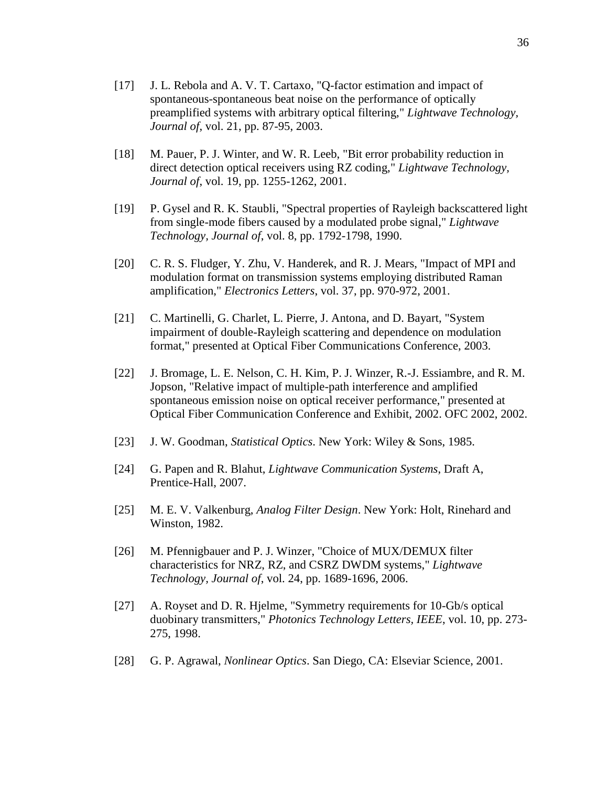- [17] J. L. Rebola and A. V. T. Cartaxo, "Q-factor estimation and impact of spontaneous-spontaneous beat noise on the performance of optically preamplified systems with arbitrary optical filtering," *Lightwave Technology, Journal of*, vol. 21, pp. 87-95, 2003.
- [18] M. Pauer, P. J. Winter, and W. R. Leeb, "Bit error probability reduction in direct detection optical receivers using RZ coding," *Lightwave Technology, Journal of*, vol. 19, pp. 1255-1262, 2001.
- [19] P. Gysel and R. K. Staubli, "Spectral properties of Rayleigh backscattered light from single-mode fibers caused by a modulated probe signal," *Lightwave Technology, Journal of*, vol. 8, pp. 1792-1798, 1990.
- [20] C. R. S. Fludger, Y. Zhu, V. Handerek, and R. J. Mears, "Impact of MPI and modulation format on transmission systems employing distributed Raman amplification," *Electronics Letters*, vol. 37, pp. 970-972, 2001.
- [21] C. Martinelli, G. Charlet, L. Pierre, J. Antona, and D. Bayart, "System impairment of double-Rayleigh scattering and dependence on modulation format," presented at Optical Fiber Communications Conference, 2003.
- [22] J. Bromage, L. E. Nelson, C. H. Kim, P. J. Winzer, R.-J. Essiambre, and R. M. Jopson, "Relative impact of multiple-path interference and amplified spontaneous emission noise on optical receiver performance," presented at Optical Fiber Communication Conference and Exhibit, 2002. OFC 2002, 2002.
- [23] J. W. Goodman, *Statistical Optics*. New York: Wiley & Sons, 1985.
- [24] G. Papen and R. Blahut, *Lightwave Communication Systems*, Draft A, Prentice-Hall, 2007.
- [25] M. E. V. Valkenburg, *Analog Filter Design*. New York: Holt, Rinehard and Winston, 1982.
- [26] M. Pfennigbauer and P. J. Winzer, "Choice of MUX/DEMUX filter characteristics for NRZ, RZ, and CSRZ DWDM systems," *Lightwave Technology, Journal of*, vol. 24, pp. 1689-1696, 2006.
- [27] A. Royset and D. R. Hjelme, "Symmetry requirements for 10-Gb/s optical duobinary transmitters," *Photonics Technology Letters, IEEE*, vol. 10, pp. 273- 275, 1998.
- [28] G. P. Agrawal, *Nonlinear Optics*. San Diego, CA: Elseviar Science, 2001.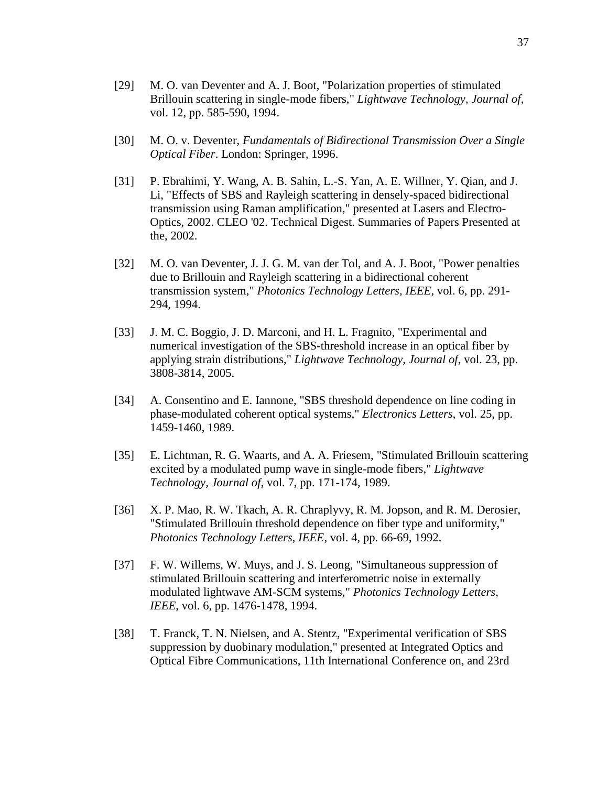- [29] M. O. van Deventer and A. J. Boot, "Polarization properties of stimulated Brillouin scattering in single-mode fibers," *Lightwave Technology, Journal of*, vol. 12, pp. 585-590, 1994.
- [30] M. O. v. Deventer, *Fundamentals of Bidirectional Transmission Over a Single Optical Fiber*. London: Springer, 1996.
- [31] P. Ebrahimi, Y. Wang, A. B. Sahin, L.-S. Yan, A. E. Willner, Y. Qian, and J. Li, "Effects of SBS and Rayleigh scattering in densely-spaced bidirectional transmission using Raman amplification," presented at Lasers and Electro-Optics, 2002. CLEO '02. Technical Digest. Summaries of Papers Presented at the, 2002.
- [32] M. O. van Deventer, J. J. G. M. van der Tol, and A. J. Boot, "Power penalties due to Brillouin and Rayleigh scattering in a bidirectional coherent transmission system," *Photonics Technology Letters, IEEE*, vol. 6, pp. 291- 294, 1994.
- [33] J. M. C. Boggio, J. D. Marconi, and H. L. Fragnito, "Experimental and numerical investigation of the SBS-threshold increase in an optical fiber by applying strain distributions," *Lightwave Technology, Journal of*, vol. 23, pp. 3808-3814, 2005.
- [34] A. Consentino and E. Iannone, "SBS threshold dependence on line coding in phase-modulated coherent optical systems," *Electronics Letters*, vol. 25, pp. 1459-1460, 1989.
- [35] E. Lichtman, R. G. Waarts, and A. A. Friesem, "Stimulated Brillouin scattering excited by a modulated pump wave in single-mode fibers," *Lightwave Technology, Journal of*, vol. 7, pp. 171-174, 1989.
- [36] X. P. Mao, R. W. Tkach, A. R. Chraplyvy, R. M. Jopson, and R. M. Derosier, "Stimulated Brillouin threshold dependence on fiber type and uniformity," *Photonics Technology Letters, IEEE*, vol. 4, pp. 66-69, 1992.
- [37] F. W. Willems, W. Muys, and J. S. Leong, "Simultaneous suppression of stimulated Brillouin scattering and interferometric noise in externally modulated lightwave AM-SCM systems," *Photonics Technology Letters, IEEE*, vol. 6, pp. 1476-1478, 1994.
- [38] T. Franck, T. N. Nielsen, and A. Stentz, "Experimental verification of SBS suppression by duobinary modulation," presented at Integrated Optics and Optical Fibre Communications, 11th International Conference on, and 23rd